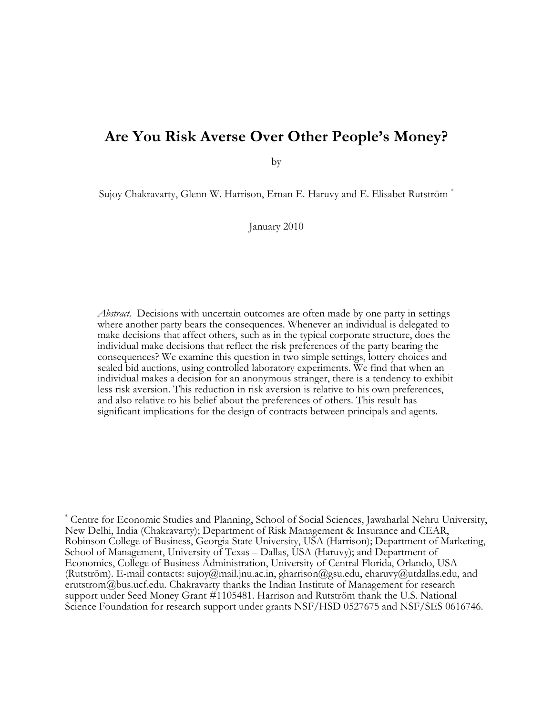# **Are You Risk Averse Over Other People's Money?**

by

Sujoy Chakravarty, Glenn W. Harrison, Ernan E. Haruvy and E. Elisabet Rutström \*

January 2010

*Abstract.* Decisions with uncertain outcomes are often made by one party in settings where another party bears the consequences. Whenever an individual is delegated to make decisions that affect others, such as in the typical corporate structure, does the individual make decisions that reflect the risk preferences of the party bearing the consequences? We examine this question in two simple settings, lottery choices and sealed bid auctions, using controlled laboratory experiments. We find that when an individual makes a decision for an anonymous stranger, there is a tendency to exhibit less risk aversion. This reduction in risk aversion is relative to his own preferences, and also relative to his belief about the preferences of others. This result has significant implications for the design of contracts between principals and agents.

\* Centre for Economic Studies and Planning, School of Social Sciences, Jawaharlal Nehru University, New Delhi, India (Chakravarty); Department of Risk Management & Insurance and CEAR, Robinson College of Business, Georgia State University, USA (Harrison); Department of Marketing, School of Management, University of Texas – Dallas, USA (Haruvy); and Department of Economics, College of Business Administration, University of Central Florida, Orlando, USA (Rutström). E-mail contacts: sujoy@mail.jnu.ac.in, gharrison@gsu.edu, eharuvy@utdallas.edu, and erutstrom@bus.ucf.edu. Chakravarty thanks the Indian Institute of Management for research support under Seed Money Grant #1105481. Harrison and Rutström thank the U.S. National Science Foundation for research support under grants NSF/HSD 0527675 and NSF/SES 0616746.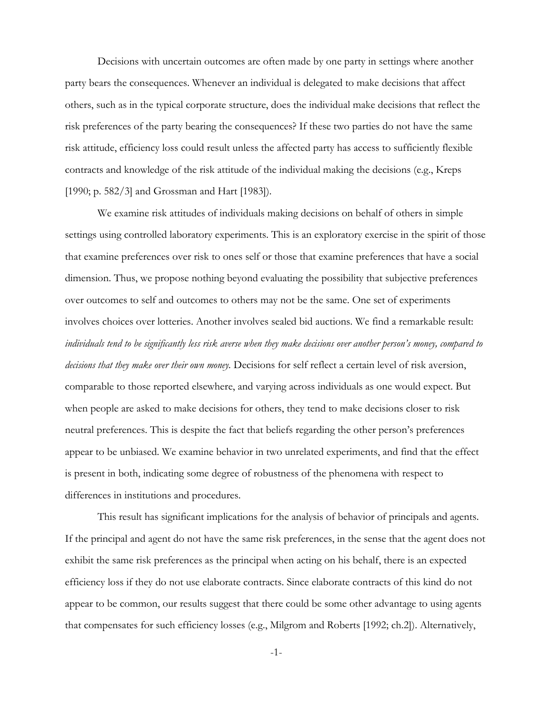Decisions with uncertain outcomes are often made by one party in settings where another party bears the consequences. Whenever an individual is delegated to make decisions that affect others, such as in the typical corporate structure, does the individual make decisions that reflect the risk preferences of the party bearing the consequences? If these two parties do not have the same risk attitude, efficiency loss could result unless the affected party has access to sufficiently flexible contracts and knowledge of the risk attitude of the individual making the decisions (e.g., Kreps [1990; p. 582/3] and Grossman and Hart [1983]).

We examine risk attitudes of individuals making decisions on behalf of others in simple settings using controlled laboratory experiments. This is an exploratory exercise in the spirit of those that examine preferences over risk to ones self or those that examine preferences that have a social dimension. Thus, we propose nothing beyond evaluating the possibility that subjective preferences over outcomes to self and outcomes to others may not be the same. One set of experiments involves choices over lotteries. Another involves sealed bid auctions. We find a remarkable result: *individuals tend to be significantly less risk averse when they make decisions over another person's money, compared to decisions that they make over their own money.* Decisions for self reflect a certain level of risk aversion, comparable to those reported elsewhere, and varying across individuals as one would expect. But when people are asked to make decisions for others, they tend to make decisions closer to risk neutral preferences. This is despite the fact that beliefs regarding the other person's preferences appear to be unbiased. We examine behavior in two unrelated experiments, and find that the effect is present in both, indicating some degree of robustness of the phenomena with respect to differences in institutions and procedures.

This result has significant implications for the analysis of behavior of principals and agents. If the principal and agent do not have the same risk preferences, in the sense that the agent does not exhibit the same risk preferences as the principal when acting on his behalf, there is an expected efficiency loss if they do not use elaborate contracts. Since elaborate contracts of this kind do not appear to be common, our results suggest that there could be some other advantage to using agents that compensates for such efficiency losses (e.g., Milgrom and Roberts [1992; ch.2]). Alternatively,

-1-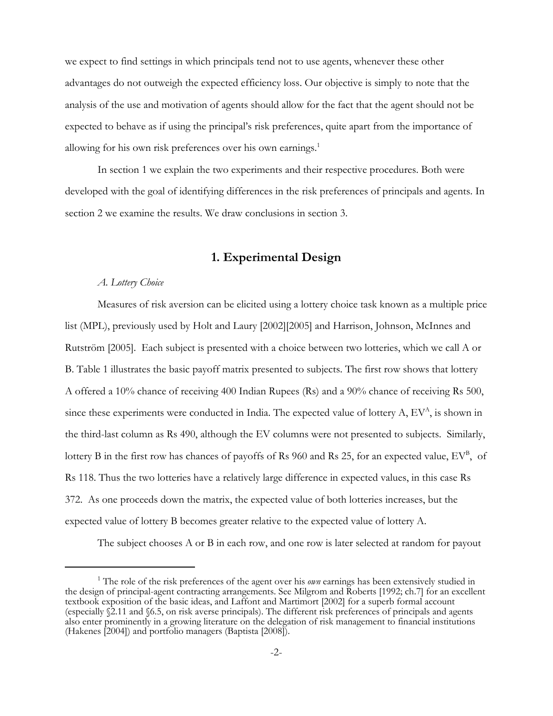we expect to find settings in which principals tend not to use agents, whenever these other advantages do not outweigh the expected efficiency loss. Our objective is simply to note that the analysis of the use and motivation of agents should allow for the fact that the agent should not be expected to behave as if using the principal's risk preferences, quite apart from the importance of allowing for his own risk preferences over his own earnings.<sup>1</sup>

In section 1 we explain the two experiments and their respective procedures. Both were developed with the goal of identifying differences in the risk preferences of principals and agents. In section 2 we examine the results. We draw conclusions in section 3.

#### **1. Experimental Design**

#### *A. Lottery Choice*

Measures of risk aversion can be elicited using a lottery choice task known as a multiple price list (MPL), previously used by Holt and Laury [2002][2005] and Harrison, Johnson, McInnes and Rutström [2005]. Each subject is presented with a choice between two lotteries, which we call A or B. Table 1 illustrates the basic payoff matrix presented to subjects. The first row shows that lottery A offered a 10% chance of receiving 400 Indian Rupees (Rs) and a 90% chance of receiving Rs 500, since these experiments were conducted in India. The expected value of lottery  $A$ ,  $EV<sup>A</sup>$ , is shown in the third-last column as Rs 490, although the EV columns were not presented to subjects. Similarly, lottery B in the first row has chances of payoffs of Rs 960 and Rs 25, for an expected value,  $EV^B$ , of Rs 118. Thus the two lotteries have a relatively large difference in expected values, in this case Rs 372. As one proceeds down the matrix, the expected value of both lotteries increases, but the expected value of lottery B becomes greater relative to the expected value of lottery A.

The subject chooses A or B in each row, and one row is later selected at random for payout

<sup>&</sup>lt;sup>1</sup> The role of the risk preferences of the agent over his *own* earnings has been extensively studied in the design of principal-agent contracting arrangements. See Milgrom and Roberts [1992; ch.7] for an excellent textbook exposition of the basic ideas, and Laffont and Martimort [2002] for a superb formal account (especially §2.11 and §6.5, on risk averse principals). The different risk preferences of principals and agents also enter prominently in a growing literature on the delegation of risk management to financial institutions (Hakenes [2004]) and portfolio managers (Baptista [2008]).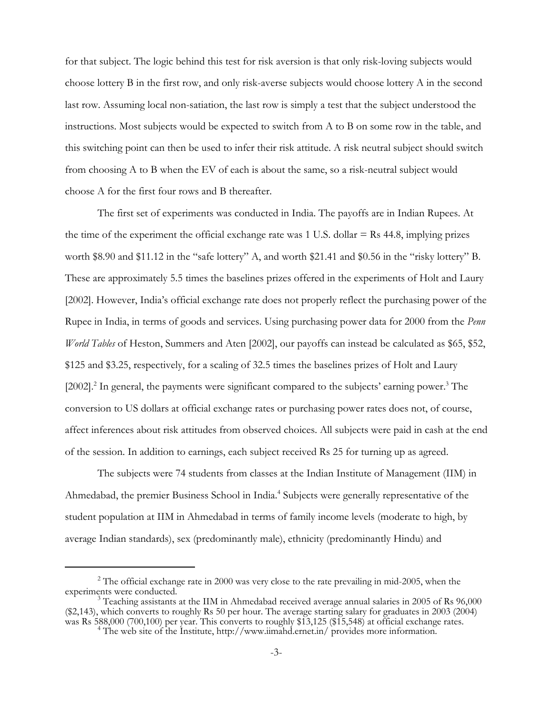for that subject. The logic behind this test for risk aversion is that only risk-loving subjects would choose lottery B in the first row, and only risk-averse subjects would choose lottery A in the second last row. Assuming local non-satiation, the last row is simply a test that the subject understood the instructions. Most subjects would be expected to switch from A to B on some row in the table, and this switching point can then be used to infer their risk attitude. A risk neutral subject should switch from choosing A to B when the EV of each is about the same, so a risk-neutral subject would choose A for the first four rows and B thereafter.

The first set of experiments was conducted in India. The payoffs are in Indian Rupees. At the time of the experiment the official exchange rate was  $1 \text{ U.S. dollar} = \text{Rs } 44.8$ , implying prizes worth \$8.90 and \$11.12 in the "safe lottery" A, and worth \$21.41 and \$0.56 in the "risky lottery" B. These are approximately 5.5 times the baselines prizes offered in the experiments of Holt and Laury [2002]. However, India's official exchange rate does not properly reflect the purchasing power of the Rupee in India, in terms of goods and services. Using purchasing power data for 2000 from the *Penn World Tables* of Heston, Summers and Aten [2002], our payoffs can instead be calculated as \$65, \$52, \$125 and \$3.25, respectively, for a scaling of 32.5 times the baselines prizes of Holt and Laury [2002].<sup>2</sup> In general, the payments were significant compared to the subjects' earning power.<sup>3</sup> The conversion to US dollars at official exchange rates or purchasing power rates does not, of course, affect inferences about risk attitudes from observed choices. All subjects were paid in cash at the end of the session. In addition to earnings, each subject received Rs 25 for turning up as agreed.

The subjects were 74 students from classes at the Indian Institute of Management (IIM) in Ahmedabad, the premier Business School in India.<sup>4</sup> Subjects were generally representative of the student population at IIM in Ahmedabad in terms of family income levels (moderate to high, by average Indian standards), sex (predominantly male), ethnicity (predominantly Hindu) and

 $2^2$  The official exchange rate in 2000 was very close to the rate prevailing in mid-2005, when the experiments were conducted.

 $3$  Teaching assistants at the IIM in Ahmedabad received average annual salaries in 2005 of Rs 96,000 (\$2,143), which converts to roughly Rs 50 per hour. The average starting salary for graduates in 2003 (2004) was Rs 588,000 (700,100) per year. This converts to roughly \$13,125 (\$15,548) at official exchange rates.

<sup>&</sup>lt;sup>4</sup> The web site of the Institute, http://www.iimahd.ernet.in/ provides more information.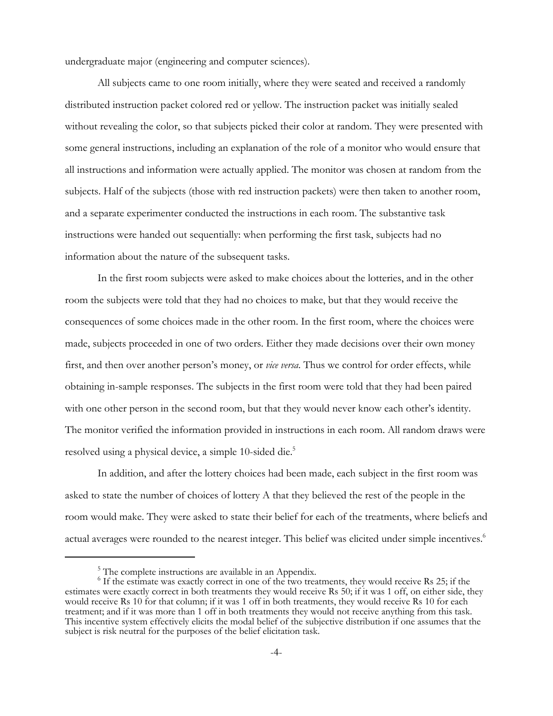undergraduate major (engineering and computer sciences).

All subjects came to one room initially, where they were seated and received a randomly distributed instruction packet colored red or yellow. The instruction packet was initially sealed without revealing the color, so that subjects picked their color at random. They were presented with some general instructions, including an explanation of the role of a monitor who would ensure that all instructions and information were actually applied. The monitor was chosen at random from the subjects. Half of the subjects (those with red instruction packets) were then taken to another room, and a separate experimenter conducted the instructions in each room. The substantive task instructions were handed out sequentially: when performing the first task, subjects had no information about the nature of the subsequent tasks.

In the first room subjects were asked to make choices about the lotteries, and in the other room the subjects were told that they had no choices to make, but that they would receive the consequences of some choices made in the other room. In the first room, where the choices were made, subjects proceeded in one of two orders. Either they made decisions over their own money first, and then over another person's money, or *vice versa*. Thus we control for order effects, while obtaining in-sample responses. The subjects in the first room were told that they had been paired with one other person in the second room, but that they would never know each other's identity. The monitor verified the information provided in instructions in each room. All random draws were resolved using a physical device, a simple 10-sided die.<sup>5</sup>

In addition, and after the lottery choices had been made, each subject in the first room was asked to state the number of choices of lottery A that they believed the rest of the people in the room would make. They were asked to state their belief for each of the treatments, where beliefs and actual averages were rounded to the nearest integer. This belief was elicited under simple incentives.<sup>6</sup>

<sup>&</sup>lt;sup>5</sup> The complete instructions are available in an Appendix.

 $6$  If the estimate was exactly correct in one of the two treatments, they would receive Rs 25; if the estimates were exactly correct in both treatments they would receive Rs 50; if it was 1 off, on either side, they would receive Rs 10 for that column; if it was 1 off in both treatments, they would receive Rs 10 for each treatment; and if it was more than 1 off in both treatments they would not receive anything from this task. This incentive system effectively elicits the modal belief of the subjective distribution if one assumes that the subject is risk neutral for the purposes of the belief elicitation task.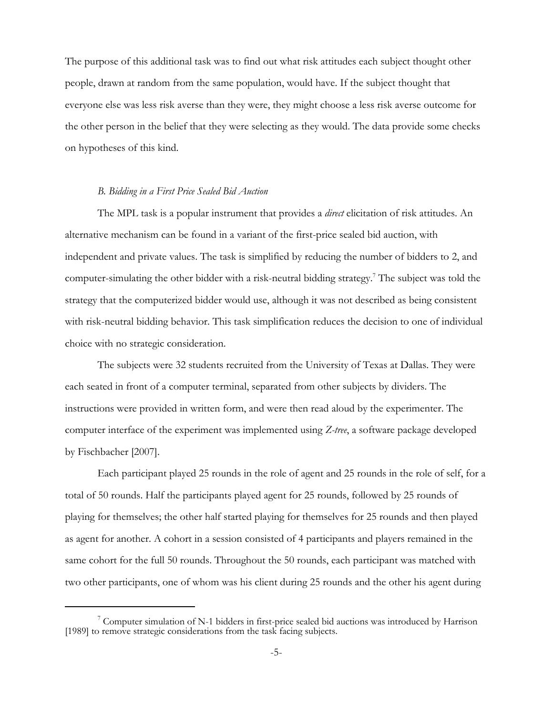The purpose of this additional task was to find out what risk attitudes each subject thought other people, drawn at random from the same population, would have. If the subject thought that everyone else was less risk averse than they were, they might choose a less risk averse outcome for the other person in the belief that they were selecting as they would. The data provide some checks on hypotheses of this kind.

#### *B. Bidding in a First Price Sealed Bid Auction*

The MPL task is a popular instrument that provides a *direct* elicitation of risk attitudes. An alternative mechanism can be found in a variant of the first-price sealed bid auction, with independent and private values. The task is simplified by reducing the number of bidders to 2, and computer-simulating the other bidder with a risk-neutral bidding strategy.<sup>7</sup> The subject was told the strategy that the computerized bidder would use, although it was not described as being consistent with risk-neutral bidding behavior. This task simplification reduces the decision to one of individual choice with no strategic consideration.

The subjects were 32 students recruited from the University of Texas at Dallas. They were each seated in front of a computer terminal, separated from other subjects by dividers. The instructions were provided in written form, and were then read aloud by the experimenter. The computer interface of the experiment was implemented using *Z-tree*, a software package developed by Fischbacher [2007].

Each participant played 25 rounds in the role of agent and 25 rounds in the role of self, for a total of 50 rounds. Half the participants played agent for 25 rounds, followed by 25 rounds of playing for themselves; the other half started playing for themselves for 25 rounds and then played as agent for another. A cohort in a session consisted of 4 participants and players remained in the same cohort for the full 50 rounds. Throughout the 50 rounds, each participant was matched with two other participants, one of whom was his client during 25 rounds and the other his agent during

<sup>&</sup>lt;sup>7</sup> Computer simulation of N-1 bidders in first-price sealed bid auctions was introduced by Harrison [1989] to remove strategic considerations from the task facing subjects.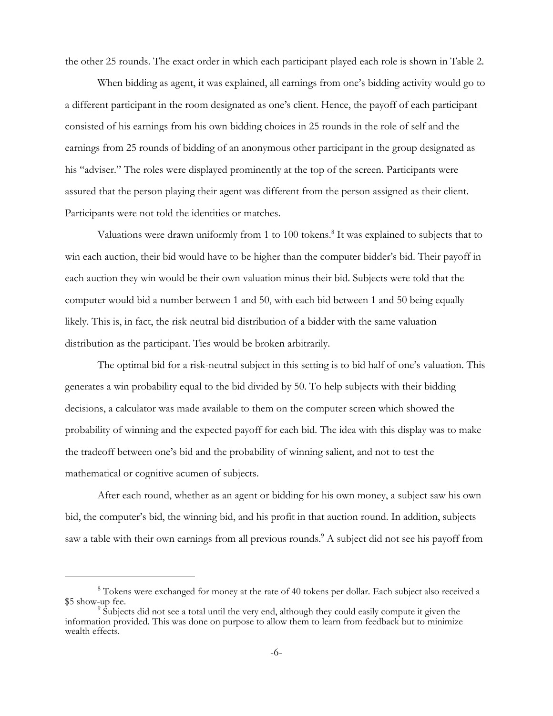the other 25 rounds. The exact order in which each participant played each role is shown in Table 2.

When bidding as agent, it was explained, all earnings from one's bidding activity would go to a different participant in the room designated as one's client. Hence, the payoff of each participant consisted of his earnings from his own bidding choices in 25 rounds in the role of self and the earnings from 25 rounds of bidding of an anonymous other participant in the group designated as his "adviser." The roles were displayed prominently at the top of the screen. Participants were assured that the person playing their agent was different from the person assigned as their client. Participants were not told the identities or matches.

Valuations were drawn uniformly from 1 to 100 tokens.<sup>8</sup> It was explained to subjects that to win each auction, their bid would have to be higher than the computer bidder's bid. Their payoff in each auction they win would be their own valuation minus their bid. Subjects were told that the computer would bid a number between 1 and 50, with each bid between 1 and 50 being equally likely. This is, in fact, the risk neutral bid distribution of a bidder with the same valuation distribution as the participant. Ties would be broken arbitrarily.

The optimal bid for a risk-neutral subject in this setting is to bid half of one's valuation. This generates a win probability equal to the bid divided by 50. To help subjects with their bidding decisions, a calculator was made available to them on the computer screen which showed the probability of winning and the expected payoff for each bid. The idea with this display was to make the tradeoff between one's bid and the probability of winning salient, and not to test the mathematical or cognitive acumen of subjects.

After each round, whether as an agent or bidding for his own money, a subject saw his own bid, the computer's bid, the winning bid, and his profit in that auction round. In addition, subjects saw a table with their own earnings from all previous rounds.<sup>9</sup> A subject did not see his payoff from

 $8$  Tokens were exchanged for money at the rate of 40 tokens per dollar. Each subject also received a \$5 show-up fee. <sup>9</sup>

Subjects did not see a total until the very end, although they could easily compute it given the information provided. This was done on purpose to allow them to learn from feedback but to minimize wealth effects.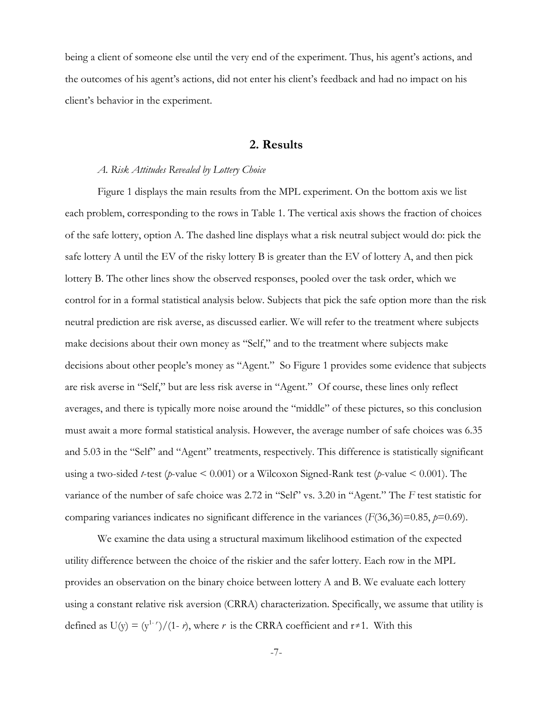being a client of someone else until the very end of the experiment. Thus, his agent's actions, and the outcomes of his agent's actions, did not enter his client's feedback and had no impact on his client's behavior in the experiment.

#### **2. Results**

#### *A. Risk Attitudes Revealed by Lottery Choice*

Figure 1 displays the main results from the MPL experiment. On the bottom axis we list each problem, corresponding to the rows in Table 1. The vertical axis shows the fraction of choices of the safe lottery, option A. The dashed line displays what a risk neutral subject would do: pick the safe lottery A until the EV of the risky lottery B is greater than the EV of lottery A, and then pick lottery B. The other lines show the observed responses, pooled over the task order, which we control for in a formal statistical analysis below. Subjects that pick the safe option more than the risk neutral prediction are risk averse, as discussed earlier. We will refer to the treatment where subjects make decisions about their own money as "Self," and to the treatment where subjects make decisions about other people's money as "Agent." So Figure 1 provides some evidence that subjects are risk averse in "Self," but are less risk averse in "Agent." Of course, these lines only reflect averages, and there is typically more noise around the "middle" of these pictures, so this conclusion must await a more formal statistical analysis. However, the average number of safe choices was 6.35 and 5.03 in the "Self" and "Agent" treatments, respectively. This difference is statistically significant using a two-sided *t*-test (*p*-value < 0.001) or a Wilcoxon Signed-Rank test (*p*-value < 0.001). The variance of the number of safe choice was 2.72 in "Self" vs. 3.20 in "Agent." The *F* test statistic for comparing variances indicates no significant difference in the variances  $(F(36,36)=0.85, p=0.69)$ .

We examine the data using a structural maximum likelihood estimation of the expected utility difference between the choice of the riskier and the safer lottery. Each row in the MPL provides an observation on the binary choice between lottery A and B. We evaluate each lottery using a constant relative risk aversion (CRRA) characterization. Specifically, we assume that utility is defined as  $U(y) = (y^{1-r})/(1-r)$ , where *r* is the CRRA coefficient and  $r \ne 1$ . With this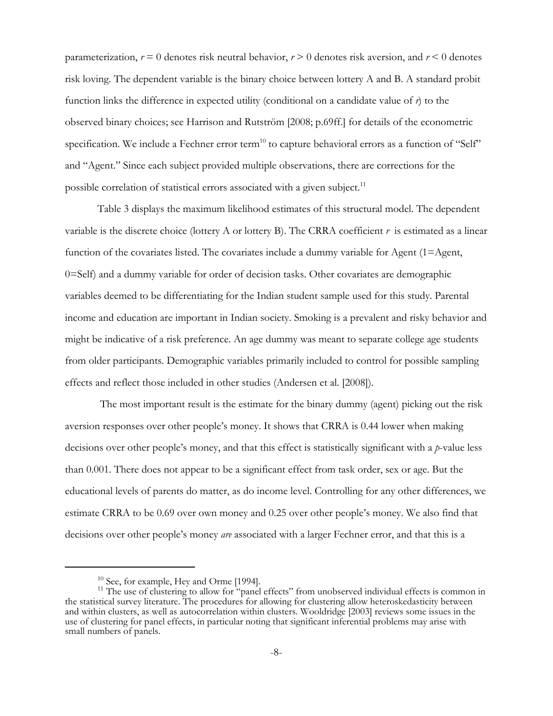parameterization,  $r = 0$  denotes risk neutral behavior,  $r > 0$  denotes risk aversion, and  $r < 0$  denotes risk loving. The dependent variable is the binary choice between lottery A and B. A standard probit function links the difference in expected utility (conditional on a candidate value of *r*) to the observed binary choices; see Harrison and Rutström [2008; p.69ff.] for details of the econometric specification. We include a Fechner error term<sup>10</sup> to capture behavioral errors as a function of "Self" and "Agent." Since each subject provided multiple observations, there are corrections for the possible correlation of statistical errors associated with a given subject.<sup>11</sup>

Table 3 displays the maximum likelihood estimates of this structural model. The dependent variable is the discrete choice (lottery A or lottery B). The CRRA coefficient  $r$  is estimated as a linear function of the covariates listed. The covariates include a dummy variable for Agent (1=Agent, 0=Self) and a dummy variable for order of decision tasks. Other covariates are demographic variables deemed to be differentiating for the Indian student sample used for this study. Parental income and education are important in Indian society. Smoking is a prevalent and risky behavior and might be indicative of a risk preference. An age dummy was meant to separate college age students from older participants. Demographic variables primarily included to control for possible sampling effects and reflect those included in other studies (Andersen et al. [2008]).

 The most important result is the estimate for the binary dummy (agent) picking out the risk aversion responses over other people's money. It shows that CRRA is 0.44 lower when making decisions over other people's money, and that this effect is statistically significant with a *p*-value less than 0.001. There does not appear to be a significant effect from task order, sex or age. But the educational levels of parents do matter, as do income level. Controlling for any other differences, we estimate CRRA to be 0.69 over own money and 0.25 over other people's money. We also find that decisions over other people's money *are* associated with a larger Fechner error, and that this is a

<sup>&</sup>lt;sup>10</sup> See, for example, Hey and Orme [1994].<br><sup>11</sup> The use of clustering to allow for "panel effects" from unobserved individual effects is common in the statistical survey literature. The procedures for allowing for clustering allow heteroskedasticity between and within clusters, as well as autocorrelation within clusters. Wooldridge [2003] reviews some issues in the use of clustering for panel effects, in particular noting that significant inferential problems may arise with small numbers of panels.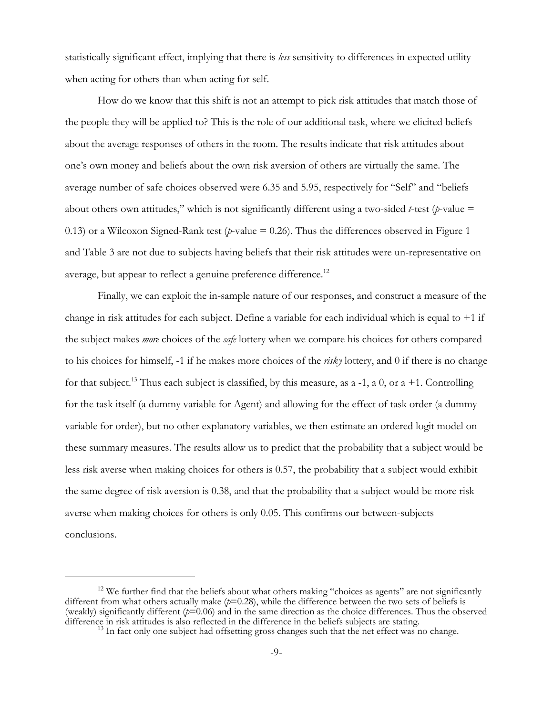statistically significant effect, implying that there is *less* sensitivity to differences in expected utility when acting for others than when acting for self.

How do we know that this shift is not an attempt to pick risk attitudes that match those of the people they will be applied to? This is the role of our additional task, where we elicited beliefs about the average responses of others in the room. The results indicate that risk attitudes about one's own money and beliefs about the own risk aversion of others are virtually the same. The average number of safe choices observed were 6.35 and 5.95, respectively for "Self" and "beliefs about others own attitudes," which is not significantly different using a two-sided *t*-test (*p*-value  $=$ 0.13) or a Wilcoxon Signed-Rank test ( $p$ -value = 0.26). Thus the differences observed in Figure 1 and Table 3 are not due to subjects having beliefs that their risk attitudes were un-representative on average, but appear to reflect a genuine preference difference.12

Finally, we can exploit the in-sample nature of our responses, and construct a measure of the change in risk attitudes for each subject. Define a variable for each individual which is equal to  $+1$  if the subject makes *more* choices of the *safe* lottery when we compare his choices for others compared to his choices for himself, -1 if he makes more choices of the *risky* lottery, and 0 if there is no change for that subject.<sup>13</sup> Thus each subject is classified, by this measure, as a -1, a 0, or a +1. Controlling for the task itself (a dummy variable for Agent) and allowing for the effect of task order (a dummy variable for order), but no other explanatory variables, we then estimate an ordered logit model on these summary measures. The results allow us to predict that the probability that a subject would be less risk averse when making choices for others is 0.57, the probability that a subject would exhibit the same degree of risk aversion is 0.38, and that the probability that a subject would be more risk averse when making choices for others is only 0.05. This confirms our between-subjects conclusions.

<sup>&</sup>lt;sup>12</sup> We further find that the beliefs about what others making "choices as agents" are not significantly different from what others actually make (*p*=0.28), while the difference between the two sets of beliefs is (weakly) significantly different (*p*=0.06) and in the same direction as the choice differences. Thus the observed difference in risk attitudes is also reflected in the difference in the beliefs subjects are stating.<br><sup>13</sup> In fact only one subject had offsetting gross changes such that the net effect was no change.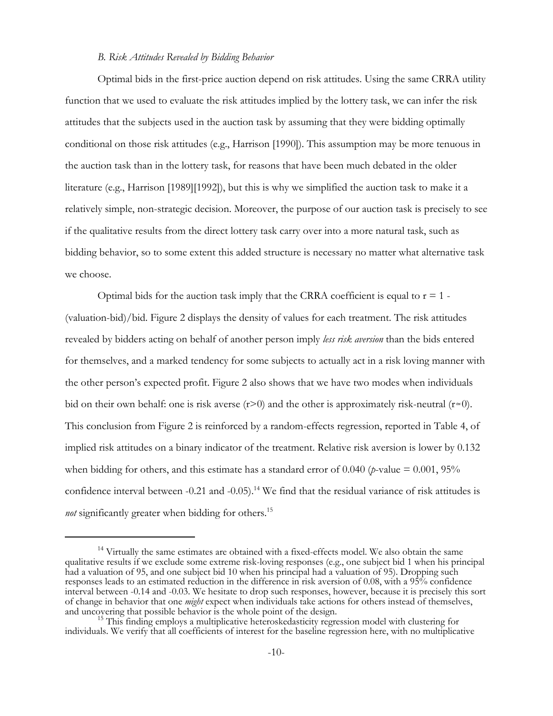#### *B. Risk Attitudes Revealed by Bidding Behavior*

Optimal bids in the first-price auction depend on risk attitudes. Using the same CRRA utility function that we used to evaluate the risk attitudes implied by the lottery task, we can infer the risk attitudes that the subjects used in the auction task by assuming that they were bidding optimally conditional on those risk attitudes (e.g., Harrison [1990]). This assumption may be more tenuous in the auction task than in the lottery task, for reasons that have been much debated in the older literature (e.g., Harrison [1989][1992]), but this is why we simplified the auction task to make it a relatively simple, non-strategic decision. Moreover, the purpose of our auction task is precisely to see if the qualitative results from the direct lottery task carry over into a more natural task, such as bidding behavior, so to some extent this added structure is necessary no matter what alternative task we choose.

Optimal bids for the auction task imply that the CRRA coefficient is equal to  $r = 1$ . (valuation-bid)/bid. Figure 2 displays the density of values for each treatment. The risk attitudes revealed by bidders acting on behalf of another person imply *less risk aversion* than the bids entered for themselves, and a marked tendency for some subjects to actually act in a risk loving manner with the other person's expected profit. Figure 2 also shows that we have two modes when individuals bid on their own behalf: one is risk averse (r>0) and the other is approximately risk-neutral (r $\approx$ 0). This conclusion from Figure 2 is reinforced by a random-effects regression, reported in Table 4, of implied risk attitudes on a binary indicator of the treatment. Relative risk aversion is lower by 0.132 when bidding for others, and this estimate has a standard error of  $0.040$  (*p*-value  $= 0.001, 95\%$ confidence interval between -0.21 and -0.05).<sup>14</sup> We find that the residual variance of risk attitudes is *not* significantly greater when bidding for others.<sup>15</sup>

<sup>&</sup>lt;sup>14</sup> Virtually the same estimates are obtained with a fixed-effects model. We also obtain the same qualitative results if we exclude some extreme risk-loving responses (e.g., one subject bid 1 when his principal had a valuation of 95, and one subject bid 10 when his principal had a valuation of 95). Dropping such responses leads to an estimated reduction in the difference in risk aversion of 0.08, with a 95% confidence interval between -0.14 and -0.03. We hesitate to drop such responses, however, because it is precisely this sort of change in behavior that one *might* expect when individuals take actions for others instead of themselves,

 $15$  This finding employs a multiplicative heteroskedasticity regression model with clustering for individuals. We verify that all coefficients of interest for the baseline regression here, with no multiplicative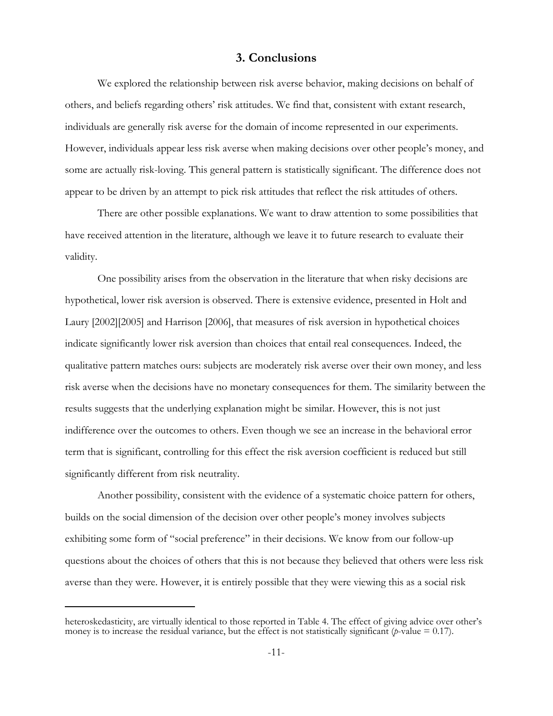### **3. Conclusions**

We explored the relationship between risk averse behavior, making decisions on behalf of others, and beliefs regarding others' risk attitudes. We find that, consistent with extant research, individuals are generally risk averse for the domain of income represented in our experiments. However, individuals appear less risk averse when making decisions over other people's money, and some are actually risk-loving. This general pattern is statistically significant. The difference does not appear to be driven by an attempt to pick risk attitudes that reflect the risk attitudes of others.

There are other possible explanations. We want to draw attention to some possibilities that have received attention in the literature, although we leave it to future research to evaluate their validity.

One possibility arises from the observation in the literature that when risky decisions are hypothetical, lower risk aversion is observed. There is extensive evidence, presented in Holt and Laury [2002][2005] and Harrison [2006], that measures of risk aversion in hypothetical choices indicate significantly lower risk aversion than choices that entail real consequences. Indeed, the qualitative pattern matches ours: subjects are moderately risk averse over their own money, and less risk averse when the decisions have no monetary consequences for them. The similarity between the results suggests that the underlying explanation might be similar. However, this is not just indifference over the outcomes to others. Even though we see an increase in the behavioral error term that is significant, controlling for this effect the risk aversion coefficient is reduced but still significantly different from risk neutrality.

Another possibility, consistent with the evidence of a systematic choice pattern for others, builds on the social dimension of the decision over other people's money involves subjects exhibiting some form of "social preference" in their decisions. We know from our follow-up questions about the choices of others that this is not because they believed that others were less risk averse than they were. However, it is entirely possible that they were viewing this as a social risk

heteroskedasticity, are virtually identical to those reported in Table 4. The effect of giving advice over other's money is to increase the residual variance, but the effect is not statistically significant (*p*-value = 0.17).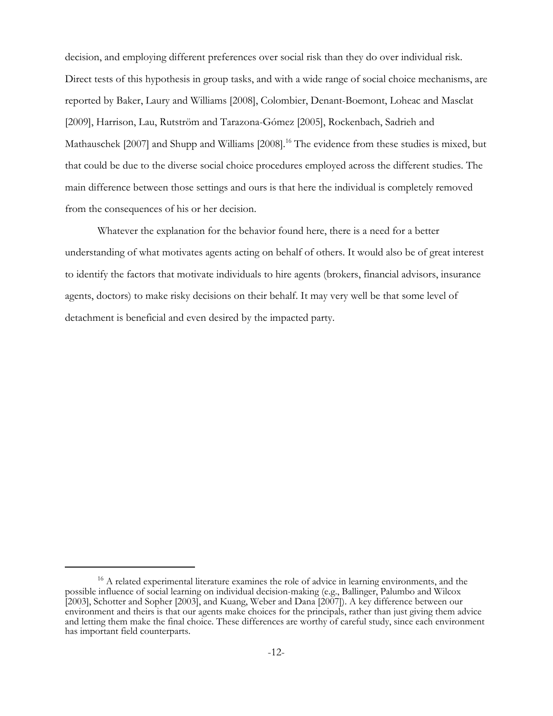decision, and employing different preferences over social risk than they do over individual risk. Direct tests of this hypothesis in group tasks, and with a wide range of social choice mechanisms, are reported by Baker, Laury and Williams [2008], Colombier, Denant-Boemont, Loheac and Masclat [2009], Harrison, Lau, Rutström and Tarazona-Gómez [2005], Rockenbach, Sadrieh and Mathauschek [2007] and Shupp and Williams [2008].<sup>16</sup> The evidence from these studies is mixed, but that could be due to the diverse social choice procedures employed across the different studies. The main difference between those settings and ours is that here the individual is completely removed from the consequences of his or her decision.

Whatever the explanation for the behavior found here, there is a need for a better understanding of what motivates agents acting on behalf of others. It would also be of great interest to identify the factors that motivate individuals to hire agents (brokers, financial advisors, insurance agents, doctors) to make risky decisions on their behalf. It may very well be that some level of detachment is beneficial and even desired by the impacted party.

 $16$  A related experimental literature examines the role of advice in learning environments, and the possible influence of social learning on individual decision-making (e.g., Ballinger, Palumbo and Wilcox [2003], Schotter and Sopher [2003], and Kuang, Weber and Dana [2007]). A key difference between our environment and theirs is that our agents make choices for the principals, rather than just giving them advice and letting them make the final choice. These differences are worthy of careful study, since each environment has important field counterparts.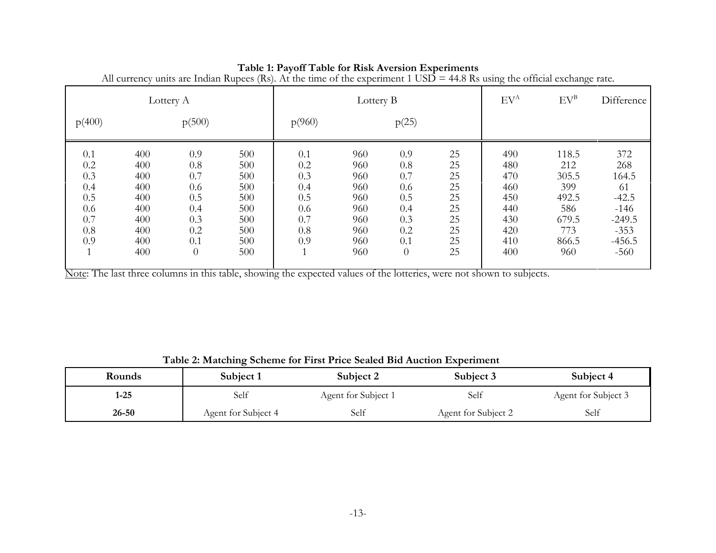|                                                             |                                                                    | Lottery A                                                               |                                                                    |                                                             | Lottery B                                                          |                                                                                 |                                                          | $\circ$ $\circ$<br>$EV^A$                                          | $\circ$<br>$EV^B$                                                            | Difference                                                                                 |
|-------------------------------------------------------------|--------------------------------------------------------------------|-------------------------------------------------------------------------|--------------------------------------------------------------------|-------------------------------------------------------------|--------------------------------------------------------------------|---------------------------------------------------------------------------------|----------------------------------------------------------|--------------------------------------------------------------------|------------------------------------------------------------------------------|--------------------------------------------------------------------------------------------|
| p(400)                                                      |                                                                    | p(500)                                                                  |                                                                    | p(960)                                                      |                                                                    | p(25)                                                                           |                                                          |                                                                    |                                                                              |                                                                                            |
| 0.1<br>0.2<br>0.3<br>0.4<br>0.5<br>0.6<br>0.7<br>0.8<br>0.9 | 400<br>400<br>400<br>400<br>400<br>400<br>400<br>400<br>400<br>400 | 0.9<br>0.8<br>0.7<br>0.6<br>0.5<br>0.4<br>0.3<br>0.2<br>0.1<br>$\theta$ | 500<br>500<br>500<br>500<br>500<br>500<br>500<br>500<br>500<br>500 | 0.1<br>0.2<br>0.3<br>0.4<br>0.5<br>0.6<br>0.7<br>0.8<br>0.9 | 960<br>960<br>960<br>960<br>960<br>960<br>960<br>960<br>960<br>960 | 0.9<br>0.8<br>0.7<br>0.6<br>0.5<br>0.4<br>0.3<br>0.2<br>0.1<br>$\boldsymbol{0}$ | 25<br>25<br>25<br>25<br>25<br>25<br>25<br>25<br>25<br>25 | 490<br>480<br>470<br>460<br>450<br>440<br>430<br>420<br>410<br>400 | 118.5<br>212<br>305.5<br>399<br>492.5<br>586<br>679.5<br>773<br>866.5<br>960 | 372<br>268<br>164.5<br>61<br>$-42.5$<br>$-146$<br>$-249.5$<br>$-353$<br>$-456.5$<br>$-560$ |

**Table 1: Payoff Table for Risk Aversion Experiments**

All currency units are Indian Rupees (Rs). At the time of the experiment 1 USD = 44.8 Rs using the official exchange rate.

Note: The last three columns in this table, showing the expected values of the lotteries, were not shown to subjects.

### **Table 2: Matching Scheme for First Price Sealed Bid Auction Experiment**

| Rounds    | Subject 1           | Subject 2           | Subject 3           | Subject 4           |
|-----------|---------------------|---------------------|---------------------|---------------------|
| 1-25      | Self                | Agent for Subject 1 | Self                | Agent for Subject 3 |
| $26 - 50$ | Agent for Subject 4 | Self                | Agent for Subject 2 | Self                |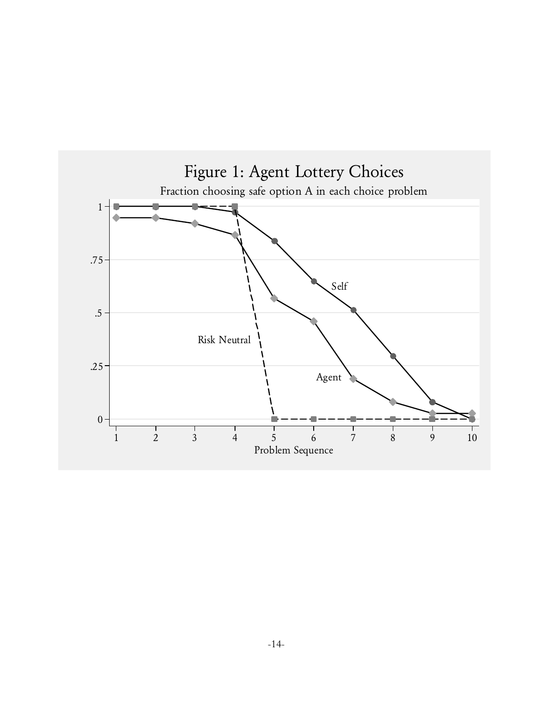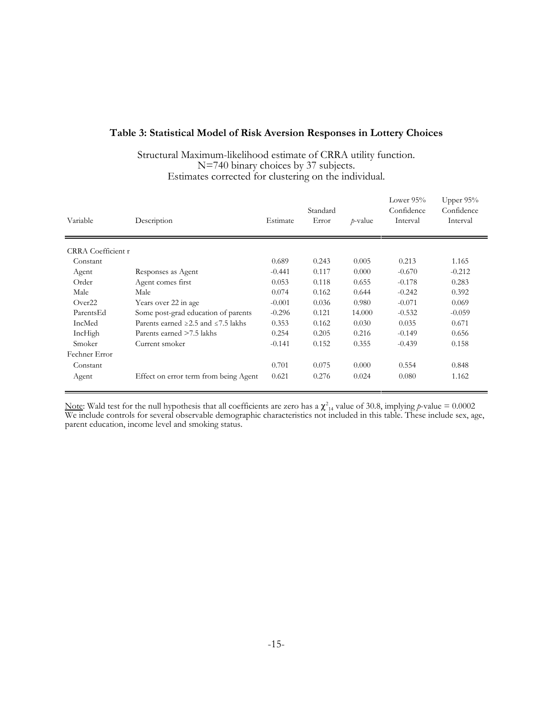#### **Table 3: Statistical Model of Risk Aversion Responses in Lottery Choices**

Structural Maximum-likelihood estimate of CRRA utility function. N=740 binary choices by 37 subjects. Estimates corrected for clustering on the individual.

| Variable           | Description                                    | Estimate | Standard<br>Error | $p$ -value | Lower $95%$<br>Confidence<br>Interval | Upper $95%$<br>Confidence<br>Interval |
|--------------------|------------------------------------------------|----------|-------------------|------------|---------------------------------------|---------------------------------------|
| CRRA Coefficient r |                                                |          |                   |            |                                       |                                       |
| Constant           |                                                | 0.689    | 0.243             | 0.005      | 0.213                                 | 1.165                                 |
| Agent              | Responses as Agent                             | $-0.441$ | 0.117             | 0.000      | $-0.670$                              | $-0.212$                              |
| Order              | Agent comes first                              | 0.053    | 0.118             | 0.655      | $-0.178$                              | 0.283                                 |
| Male               | Male                                           | 0.074    | 0.162             | 0.644      | $-0.242$                              | 0.392                                 |
| Over <sub>22</sub> | Years over 22 in age                           | $-0.001$ | 0.036             | 0.980      | $-0.071$                              | 0.069                                 |
| ParentsEd          | Some post-grad education of parents            | $-0.296$ | 0.121             | 14.000     | $-0.532$                              | $-0.059$                              |
| IncMed             | Parents earned $\geq$ 2.5 and $\leq$ 7.5 lakhs | 0.353    | 0.162             | 0.030      | 0.035                                 | 0.671                                 |
| IncHigh            | Parents earned >7.5 lakhs                      | 0.254    | 0.205             | 0.216      | $-0.149$                              | 0.656                                 |
| Smoker             | Current smoker                                 | $-0.141$ | 0.152             | 0.355      | $-0.439$                              | 0.158                                 |
| Fechner Error      |                                                |          |                   |            |                                       |                                       |
| Constant           |                                                | 0.701    | 0.075             | 0.000      | 0.554                                 | 0.848                                 |
| Agent              | Effect on error term from being Agent          | 0.621    | 0.276             | 0.024      | 0.080                                 | 1.162                                 |

Note: Wald test for the null hypothesis that all coefficients are zero has a  $\chi^2_{14}$  value of 30.8, implying p-value = 0.0002 We include controls for several observable demographic characteristics not included in this table. These include sex, age, parent education, income level and smoking status.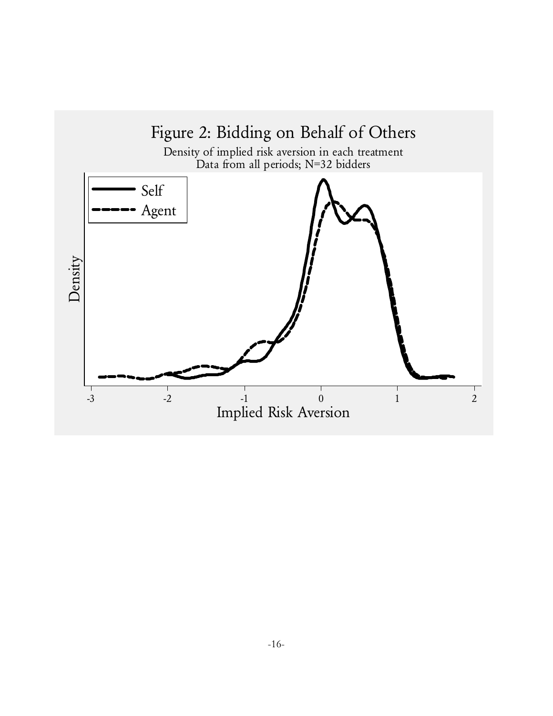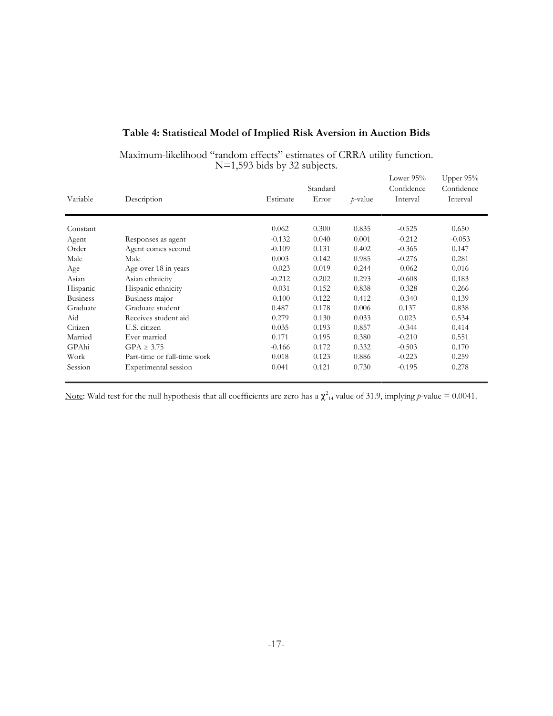### **Table 4: Statistical Model of Implied Risk Aversion in Auction Bids**

| Maximum-likelihood "random effects" estimates of CRRA utility function. |                                |  |  |
|-------------------------------------------------------------------------|--------------------------------|--|--|
|                                                                         | $N=1,593$ bids by 32 subjects. |  |  |

| Variable        | Description                 | Estimate | Standard<br>Error | $p$ -value | Lower $95%$<br>Confidence<br>Interval | Upper $95%$<br>Confidence<br>Interval |
|-----------------|-----------------------------|----------|-------------------|------------|---------------------------------------|---------------------------------------|
|                 |                             |          |                   |            |                                       |                                       |
| Constant        |                             | 0.062    | 0.300             | 0.835      | $-0.525$                              | 0.650                                 |
| Agent           | Responses as agent          | $-0.132$ | 0.040             | 0.001      | $-0.212$                              | $-0.053$                              |
| Order           | Agent comes second          | $-0.109$ | 0.131             | 0.402      | $-0.365$                              | 0.147                                 |
| Male            | Male                        | 0.003    | 0.142             | 0.985      | $-0.276$                              | 0.281                                 |
| Age             | Age over 18 in years        | $-0.023$ | 0.019             | 0.244      | $-0.062$                              | 0.016                                 |
| Asian           | Asian ethnicity             | $-0.212$ | 0.202             | 0.293      | $-0.608$                              | 0.183                                 |
| Hispanic        | Hispanic ethnicity          | $-0.031$ | 0.152             | 0.838      | $-0.328$                              | 0.266                                 |
| <b>Business</b> | Business major              | $-0.100$ | 0.122             | 0.412      | $-0.340$                              | 0.139                                 |
| Graduate        | Graduate student            | 0.487    | 0.178             | 0.006      | 0.137                                 | 0.838                                 |
| Aid             | Receives student aid        | 0.279    | 0.130             | 0.033      | 0.023                                 | 0.534                                 |
| Citizen         | U.S. citizen                | 0.035    | 0.193             | 0.857      | $-0.344$                              | 0.414                                 |
| Married         | Ever married                | 0.171    | 0.195             | 0.380      | $-0.210$                              | 0.551                                 |
| GPAhi           | $GPA \geq 3.75$             | $-0.166$ | 0.172             | 0.332      | $-0.503$                              | 0.170                                 |
| Work            | Part-time or full-time work | 0.018    | 0.123             | 0.886      | $-0.223$                              | 0.259                                 |
| Session         | Experimental session        | 0.041    | 0.121             | 0.730      | $-0.195$                              | 0.278                                 |

Note: Wald test for the null hypothesis that all coefficients are zero has a  $\chi^2_{14}$  value of 31.9, implying p-value = 0.0041.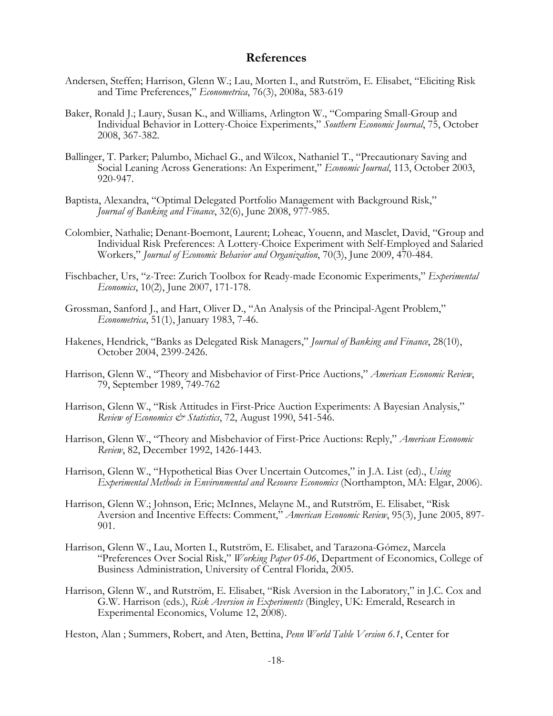### **References**

- Andersen, Steffen; Harrison, Glenn W.; Lau, Morten I., and Rutström, E. Elisabet, "Eliciting Risk and Time Preferences," *Econometrica*, 76(3), 2008a, 583-619
- Baker, Ronald J.; Laury, Susan K., and Williams, Arlington W., "Comparing Small-Group and Individual Behavior in Lottery-Choice Experiments," *Southern Economic Journal*, 75, October 2008, 367-382.
- Ballinger, T. Parker; Palumbo, Michael G., and Wilcox, Nathaniel T., "Precautionary Saving and Social Leaning Across Generations: An Experiment," *Economic Journal*, 113, October 2003, 920-947.
- Baptista, Alexandra, "Optimal Delegated Portfolio Management with Background Risk," *Journal of Banking and Finance*, 32(6), June 2008, 977-985.
- Colombier, Nathalie; Denant-Boemont, Laurent; Loheac, Youenn, and Masclet, David, "Group and Individual Risk Preferences: A Lottery-Choice Experiment with Self-Employed and Salaried Workers," *Journal of Economic Behavior and Organization*, 70(3), June 2009, 470-484.
- Fischbacher, Urs, "z-Tree: Zurich Toolbox for Ready-made Economic Experiments," *Experimental Economics*, 10(2), June 2007, 171-178.
- Grossman, Sanford J., and Hart, Oliver D., "An Analysis of the Principal-Agent Problem," *Econometrica*, 51(1), January 1983, 7-46.
- Hakenes, Hendrick, "Banks as Delegated Risk Managers," *Journal of Banking and Finance*, 28(10), October 2004, 2399-2426.
- Harrison, Glenn W., "Theory and Misbehavior of First-Price Auctions," *American Economic Review*, 79, September 1989, 749-762
- Harrison, Glenn W., "Risk Attitudes in First-Price Auction Experiments: A Bayesian Analysis," *Review of Economics & Statistics*, 72, August 1990, 541-546.
- Harrison, Glenn W., "Theory and Misbehavior of First-Price Auctions: Reply," *American Economic Review*, 82, December 1992, 1426-1443.
- Harrison, Glenn W., "Hypothetical Bias Over Uncertain Outcomes," in J.A. List (ed)., *Using Experimental Methods in Environmental and Resource Economics* (Northampton, MA: Elgar, 2006).
- Harrison, Glenn W.; Johnson, Eric; McInnes, Melayne M., and Rutström, E. Elisabet, "Risk Aversion and Incentive Effects: Comment," *American Economic Review*, 95(3), June 2005, 897- 901.
- Harrison, Glenn W., Lau, Morten I., Rutström, E. Elisabet, and Tarazona-Gómez, Marcela "Preferences Over Social Risk," *Working Paper 05-06*, Department of Economics, College of Business Administration, University of Central Florida, 2005.
- Harrison, Glenn W., and Rutström, E. Elisabet, "Risk Aversion in the Laboratory," in J.C. Cox and G.W. Harrison (eds.), *Risk Aversion in Experiments* (Bingley, UK: Emerald, Research in Experimental Economics, Volume 12, 2008).

Heston, Alan ; Summers, Robert, and Aten, Bettina, *Penn World Table Version 6.1*, Center for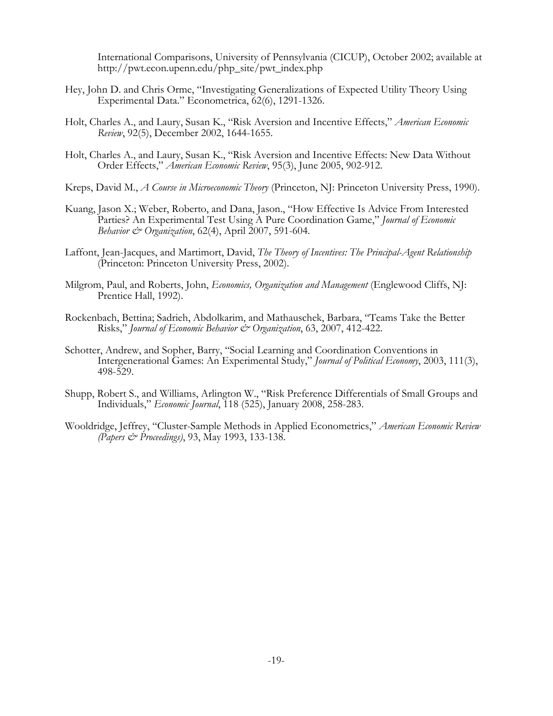International Comparisons, University of Pennsylvania (CICUP), October 2002; available at http://pwt.econ.upenn.edu/php\_site/pwt\_index.php

- Hey, John D. and Chris Orme, "Investigating Generalizations of Expected Utility Theory Using Experimental Data." Econometrica, 62(6), 1291-1326.
- Holt, Charles A., and Laury, Susan K., "Risk Aversion and Incentive Effects," *American Economic Review*, 92(5), December 2002, 1644-1655.
- Holt, Charles A., and Laury, Susan K., "Risk Aversion and Incentive Effects: New Data Without Order Effects," *American Economic Review*, 95(3), June 2005, 902-912.
- Kreps, David M., *A Course in Microeconomic Theory* (Princeton, NJ: Princeton University Press, 1990).
- Kuang, Jason X.; Weber, Roberto, and Dana, Jason., "How Effective Is Advice From Interested Parties? An Experimental Test Using A Pure Coordination Game," *Journal of Economic Behavior & Organization*, 62(4), April 2007, 591-604.
- Laffont, Jean-Jacques, and Martimort, David, *The Theory of Incentives: The Principal-Agent Relationship* (Princeton: Princeton University Press, 2002).
- Milgrom, Paul, and Roberts, John, *Economics, Organization and Management* (Englewood Cliffs, NJ: Prentice Hall, 1992).
- Rockenbach, Bettina; Sadrieh, Abdolkarim, and Mathauschek, Barbara, "Teams Take the Better Risks," *Journal of Economic Behavior & Organization*, 63, 2007, 412-422.
- Schotter, Andrew, and Sopher, Barry, "Social Learning and Coordination Conventions in Intergenerational Games: An Experimental Study," *Journal of Political Economy*, 2003, 111(3), 498-529.
- Shupp, Robert S., and Williams, Arlington W., "Risk Preference Differentials of Small Groups and Individuals," *Economic Journal*, 118 (525), January 2008, 258-283.
- Wooldridge, Jeffrey, "Cluster-Sample Methods in Applied Econometrics," *American Economic Review (Papers & Proceedings)*, 93, May 1993, 133-138.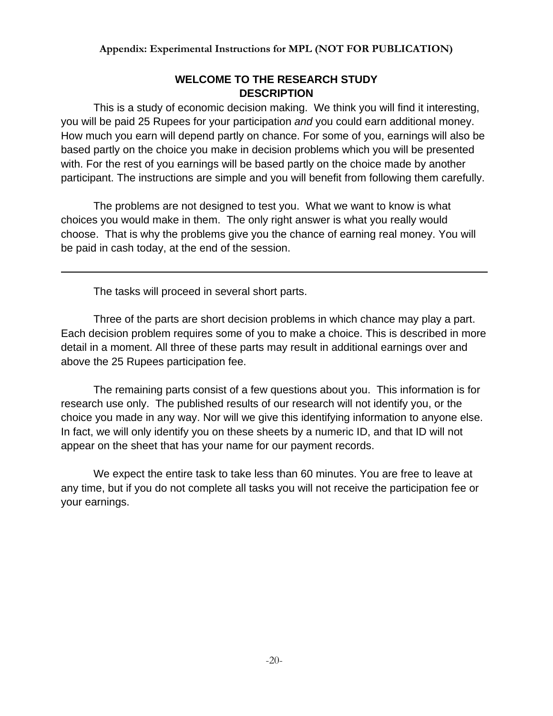### **Appendix: Experimental Instructions for MPL (NOT FOR PUBLICATION)**

## **WELCOME TO THE RESEARCH STUDY DESCRIPTION**

This is a study of economic decision making. We think you will find it interesting, you will be paid 25 Rupees for your participation *and* you could earn additional money. How much you earn will depend partly on chance. For some of you, earnings will also be based partly on the choice you make in decision problems which you will be presented with. For the rest of you earnings will be based partly on the choice made by another participant. The instructions are simple and you will benefit from following them carefully.

The problems are not designed to test you. What we want to know is what choices you would make in them. The only right answer is what you really would choose. That is why the problems give you the chance of earning real money. You will be paid in cash today, at the end of the session.

The tasks will proceed in several short parts.

Three of the parts are short decision problems in which chance may play a part. Each decision problem requires some of you to make a choice. This is described in more detail in a moment. All three of these parts may result in additional earnings over and above the 25 Rupees participation fee.

The remaining parts consist of a few questions about you. This information is for research use only. The published results of our research will not identify you, or the choice you made in any way. Nor will we give this identifying information to anyone else. In fact, we will only identify you on these sheets by a numeric ID, and that ID will not appear on the sheet that has your name for our payment records.

We expect the entire task to take less than 60 minutes. You are free to leave at any time, but if you do not complete all tasks you will not receive the participation fee or your earnings.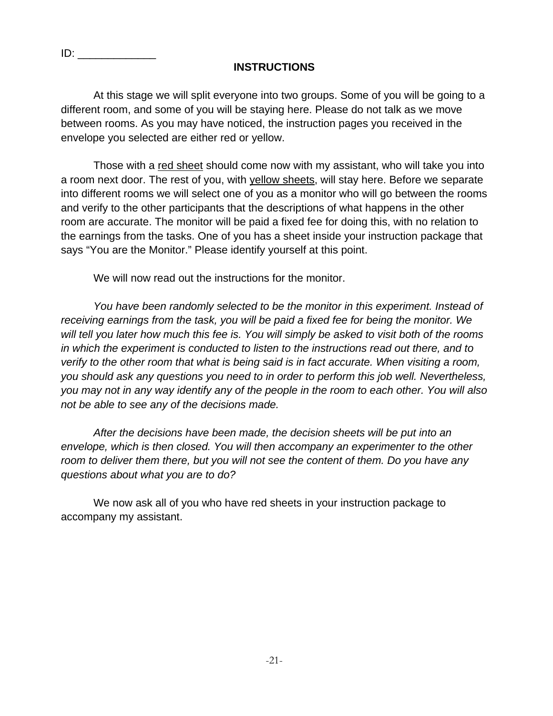$ID:$ 

### **INSTRUCTIONS**

At this stage we will split everyone into two groups. Some of you will be going to a different room, and some of you will be staying here. Please do not talk as we move between rooms. As you may have noticed, the instruction pages you received in the envelope you selected are either red or yellow.

Those with a red sheet should come now with my assistant, who will take you into a room next door. The rest of you, with yellow sheets, will stay here. Before we separate into different rooms we will select one of you as a monitor who will go between the rooms and verify to the other participants that the descriptions of what happens in the other room are accurate. The monitor will be paid a fixed fee for doing this, with no relation to the earnings from the tasks. One of you has a sheet inside your instruction package that says "You are the Monitor." Please identify yourself at this point.

We will now read out the instructions for the monitor.

*You have been randomly selected to be the monitor in this experiment. Instead of receiving earnings from the task, you will be paid a fixed fee for being the monitor. We will tell you later how much this fee is. You will simply be asked to visit both of the rooms in which the experiment is conducted to listen to the instructions read out there, and to verify to the other room that what is being said is in fact accurate. When visiting a room, you should ask any questions you need to in order to perform this job well. Nevertheless, you may not in any way identify any of the people in the room to each other. You will also not be able to see any of the decisions made.* 

*After the decisions have been made, the decision sheets will be put into an envelope, which is then closed. You will then accompany an experimenter to the other room to deliver them there, but you will not see the content of them. Do you have any questions about what you are to do?*

We now ask all of you who have red sheets in your instruction package to accompany my assistant.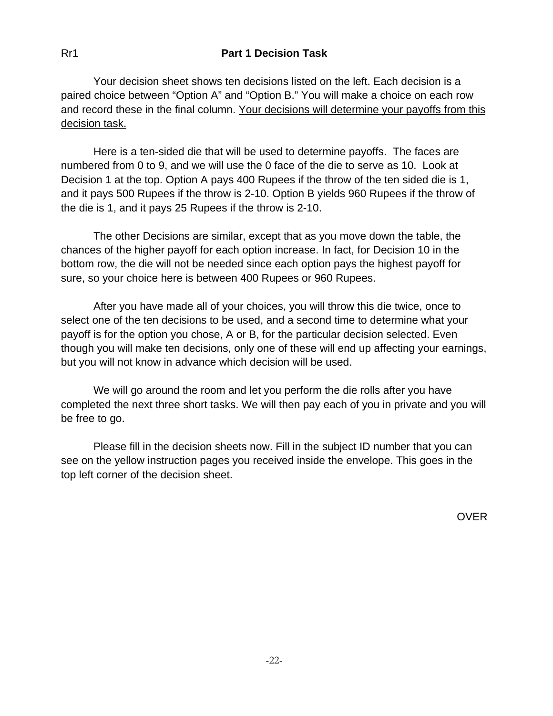### Rr1 **Part 1 Decision Task**

Your decision sheet shows ten decisions listed on the left. Each decision is a paired choice between "Option A" and "Option B." You will make a choice on each row and record these in the final column. Your decisions will determine your payoffs from this decision task.

Here is a ten-sided die that will be used to determine payoffs. The faces are numbered from 0 to 9, and we will use the 0 face of the die to serve as 10. Look at Decision 1 at the top. Option A pays 400 Rupees if the throw of the ten sided die is 1, and it pays 500 Rupees if the throw is 2-10. Option B yields 960 Rupees if the throw of the die is 1, and it pays 25 Rupees if the throw is 2-10.

The other Decisions are similar, except that as you move down the table, the chances of the higher payoff for each option increase. In fact, for Decision 10 in the bottom row, the die will not be needed since each option pays the highest payoff for sure, so your choice here is between 400 Rupees or 960 Rupees.

After you have made all of your choices, you will throw this die twice, once to select one of the ten decisions to be used, and a second time to determine what your payoff is for the option you chose, A or B, for the particular decision selected. Even though you will make ten decisions, only one of these will end up affecting your earnings, but you will not know in advance which decision will be used.

We will go around the room and let you perform the die rolls after you have completed the next three short tasks. We will then pay each of you in private and you will be free to go.

Please fill in the decision sheets now. Fill in the subject ID number that you can see on the yellow instruction pages you received inside the envelope. This goes in the top left corner of the decision sheet.

OVER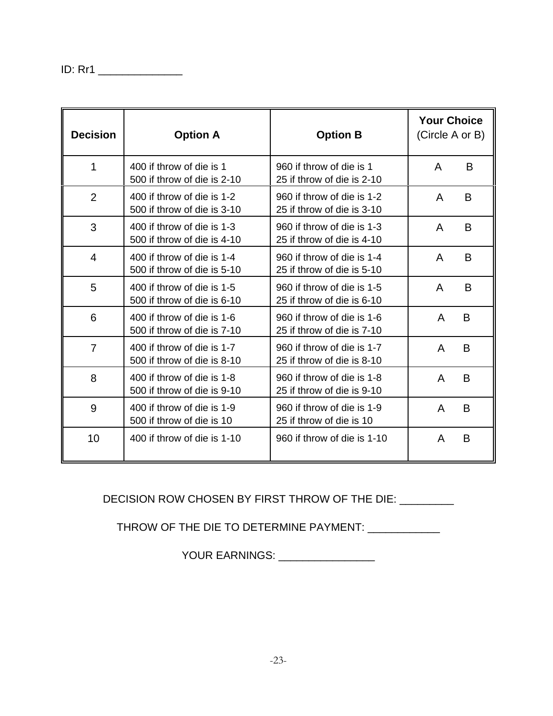ID: Rr1 \_\_\_\_\_\_\_\_\_\_\_\_\_\_

| <b>Decision</b> | <b>Option A</b>             | <b>Option B</b>             | <b>Your Choice</b><br>(Circle A or B) |
|-----------------|-----------------------------|-----------------------------|---------------------------------------|
| 1               | 400 if throw of die is 1    | 960 if throw of die is 1    | A                                     |
|                 | 500 if throw of die is 2-10 | 25 if throw of die is 2-10  | B                                     |
| 2               | 400 if throw of die is 1-2  | 960 if throw of die is 1-2  | A                                     |
|                 | 500 if throw of die is 3-10 | 25 if throw of die is 3-10  | B                                     |
| 3               | 400 if throw of die is 1-3  | 960 if throw of die is 1-3  | B                                     |
|                 | 500 if throw of die is 4-10 | 25 if throw of die is 4-10  | A                                     |
| $\overline{4}$  | 400 if throw of die is 1-4  | 960 if throw of die is 1-4  | B                                     |
|                 | 500 if throw of die is 5-10 | 25 if throw of die is 5-10  | A                                     |
| 5               | 400 if throw of die is 1-5  | 960 if throw of die is 1-5  | B                                     |
|                 | 500 if throw of die is 6-10 | 25 if throw of die is 6-10  | A                                     |
| 6               | 400 if throw of die is 1-6  | 960 if throw of die is 1-6  | A                                     |
|                 | 500 if throw of die is 7-10 | 25 if throw of die is 7-10  | B                                     |
| $\overline{7}$  | 400 if throw of die is 1-7  | 960 if throw of die is 1-7  | A                                     |
|                 | 500 if throw of die is 8-10 | 25 if throw of die is 8-10  | B                                     |
| 8               | 400 if throw of die is 1-8  | 960 if throw of die is 1-8  | B                                     |
|                 | 500 if throw of die is 9-10 | 25 if throw of die is 9-10  | A                                     |
| 9               | 400 if throw of die is 1-9  | 960 if throw of die is 1-9  | A                                     |
|                 | 500 if throw of die is 10   | 25 if throw of die is 10    | B                                     |
| 10              | 400 if throw of die is 1-10 | 960 if throw of die is 1-10 | A<br>B                                |

DECISION ROW CHOSEN BY FIRST THROW OF THE DIE:  $\_\_$ 

THROW OF THE DIE TO DETERMINE PAYMENT: \_\_\_\_\_\_\_\_\_\_\_\_

YOUR EARNINGS: \_\_\_\_\_\_\_\_\_\_\_\_\_\_\_\_\_\_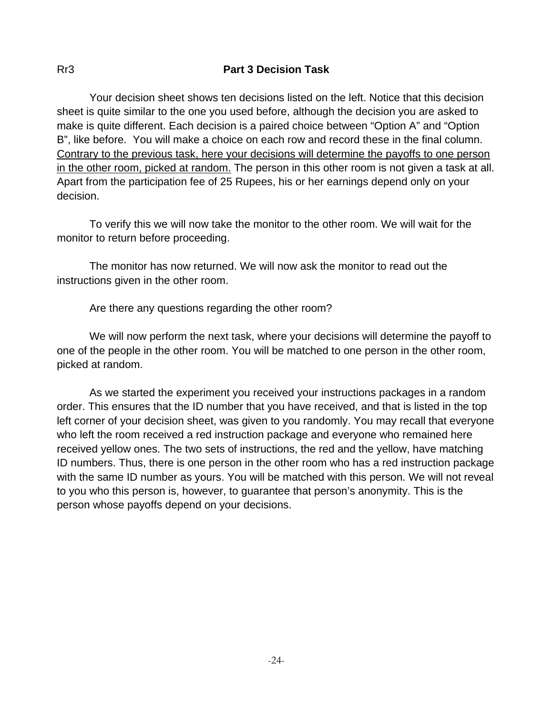### Rr3 **Part 3 Decision Task**

Your decision sheet shows ten decisions listed on the left. Notice that this decision sheet is quite similar to the one you used before, although the decision you are asked to make is quite different. Each decision is a paired choice between "Option A" and "Option B", like before. You will make a choice on each row and record these in the final column. Contrary to the previous task, here your decisions will determine the payoffs to one person in the other room, picked at random. The person in this other room is not given a task at all. Apart from the participation fee of 25 Rupees, his or her earnings depend only on your decision.

To verify this we will now take the monitor to the other room. We will wait for the monitor to return before proceeding.

The monitor has now returned. We will now ask the monitor to read out the instructions given in the other room.

Are there any questions regarding the other room?

We will now perform the next task, where your decisions will determine the payoff to one of the people in the other room. You will be matched to one person in the other room, picked at random.

As we started the experiment you received your instructions packages in a random order. This ensures that the ID number that you have received, and that is listed in the top left corner of your decision sheet, was given to you randomly. You may recall that everyone who left the room received a red instruction package and everyone who remained here received yellow ones. The two sets of instructions, the red and the yellow, have matching ID numbers. Thus, there is one person in the other room who has a red instruction package with the same ID number as yours. You will be matched with this person. We will not reveal to you who this person is, however, to guarantee that person's anonymity. This is the person whose payoffs depend on your decisions.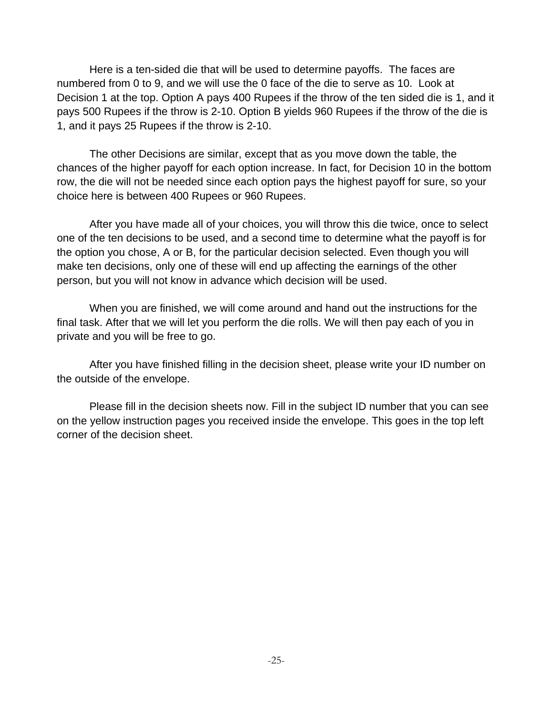Here is a ten-sided die that will be used to determine payoffs. The faces are numbered from 0 to 9, and we will use the 0 face of the die to serve as 10. Look at Decision 1 at the top. Option A pays 400 Rupees if the throw of the ten sided die is 1, and it pays 500 Rupees if the throw is 2-10. Option B yields 960 Rupees if the throw of the die is 1, and it pays 25 Rupees if the throw is 2-10.

The other Decisions are similar, except that as you move down the table, the chances of the higher payoff for each option increase. In fact, for Decision 10 in the bottom row, the die will not be needed since each option pays the highest payoff for sure, so your choice here is between 400 Rupees or 960 Rupees.

After you have made all of your choices, you will throw this die twice, once to select one of the ten decisions to be used, and a second time to determine what the payoff is for the option you chose, A or B, for the particular decision selected. Even though you will make ten decisions, only one of these will end up affecting the earnings of the other person, but you will not know in advance which decision will be used.

When you are finished, we will come around and hand out the instructions for the final task. After that we will let you perform the die rolls. We will then pay each of you in private and you will be free to go.

After you have finished filling in the decision sheet, please write your ID number on the outside of the envelope.

Please fill in the decision sheets now. Fill in the subject ID number that you can see on the yellow instruction pages you received inside the envelope. This goes in the top left corner of the decision sheet.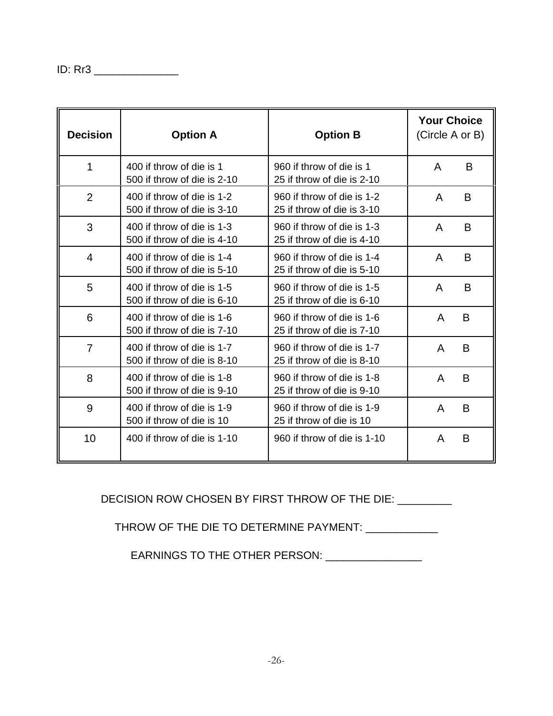ID: Rr3 \_\_\_\_\_\_\_\_\_\_\_\_\_\_

| <b>Decision</b>          | <b>Option A</b>             | <b>Option B</b>             | <b>Your Choice</b><br>(Circle A or B) |
|--------------------------|-----------------------------|-----------------------------|---------------------------------------|
| 1                        | 400 if throw of die is 1    | 960 if throw of die is 1    | $\mathsf{A}$                          |
|                          | 500 if throw of die is 2-10 | 25 if throw of die is 2-10  | B                                     |
| $\overline{2}$           | 400 if throw of die is 1-2  | 960 if throw of die is 1-2  | B                                     |
|                          | 500 if throw of die is 3-10 | 25 if throw of die is 3-10  | A                                     |
| 3                        | 400 if throw of die is 1-3  | 960 if throw of die is 1-3  | B                                     |
|                          | 500 if throw of die is 4-10 | 25 if throw of die is 4-10  | A                                     |
| $\overline{\mathcal{A}}$ | 400 if throw of die is 1-4  | 960 if throw of die is 1-4  | B                                     |
|                          | 500 if throw of die is 5-10 | 25 if throw of die is 5-10  | A                                     |
| 5                        | 400 if throw of die is 1-5  | 960 if throw of die is 1-5  | B                                     |
|                          | 500 if throw of die is 6-10 | 25 if throw of die is 6-10  | A                                     |
| 6                        | 400 if throw of die is 1-6  | 960 if throw of die is 1-6  | A                                     |
|                          | 500 if throw of die is 7-10 | 25 if throw of die is 7-10  | B                                     |
| $\overline{7}$           | 400 if throw of die is 1-7  | 960 if throw of die is 1-7  | A                                     |
|                          | 500 if throw of die is 8-10 | 25 if throw of die is 8-10  | B                                     |
| 8                        | 400 if throw of die is 1-8  | 960 if throw of die is 1-8  | A                                     |
|                          | 500 if throw of die is 9-10 | 25 if throw of die is 9-10  | B                                     |
| 9                        | 400 if throw of die is 1-9  | 960 if throw of die is 1-9  | A                                     |
|                          | 500 if throw of die is 10   | 25 if throw of die is 10    | B                                     |
| 10                       | 400 if throw of die is 1-10 | 960 if throw of die is 1-10 | A<br>B                                |

DECISION ROW CHOSEN BY FIRST THROW OF THE DIE: \_\_\_\_\_\_\_\_

THROW OF THE DIE TO DETERMINE PAYMENT: \_\_\_\_\_\_\_\_\_\_\_

EARNINGS TO THE OTHER PERSON: \_\_\_\_\_\_\_\_\_\_\_\_\_\_\_\_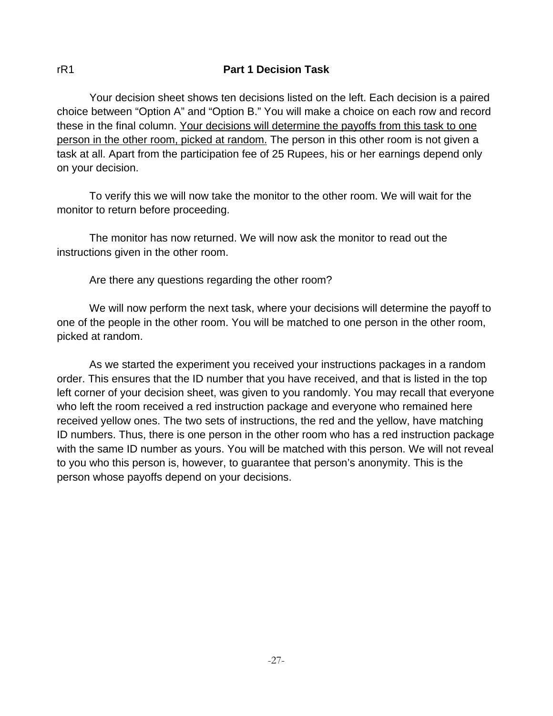### rR1 **Part 1 Decision Task**

Your decision sheet shows ten decisions listed on the left. Each decision is a paired choice between "Option A" and "Option B." You will make a choice on each row and record these in the final column. Your decisions will determine the payoffs from this task to one person in the other room, picked at random. The person in this other room is not given a task at all. Apart from the participation fee of 25 Rupees, his or her earnings depend only on your decision.

To verify this we will now take the monitor to the other room. We will wait for the monitor to return before proceeding.

The monitor has now returned. We will now ask the monitor to read out the instructions given in the other room.

Are there any questions regarding the other room?

We will now perform the next task, where your decisions will determine the payoff to one of the people in the other room. You will be matched to one person in the other room, picked at random.

As we started the experiment you received your instructions packages in a random order. This ensures that the ID number that you have received, and that is listed in the top left corner of your decision sheet, was given to you randomly. You may recall that everyone who left the room received a red instruction package and everyone who remained here received yellow ones. The two sets of instructions, the red and the yellow, have matching ID numbers. Thus, there is one person in the other room who has a red instruction package with the same ID number as yours. You will be matched with this person. We will not reveal to you who this person is, however, to guarantee that person's anonymity. This is the person whose payoffs depend on your decisions.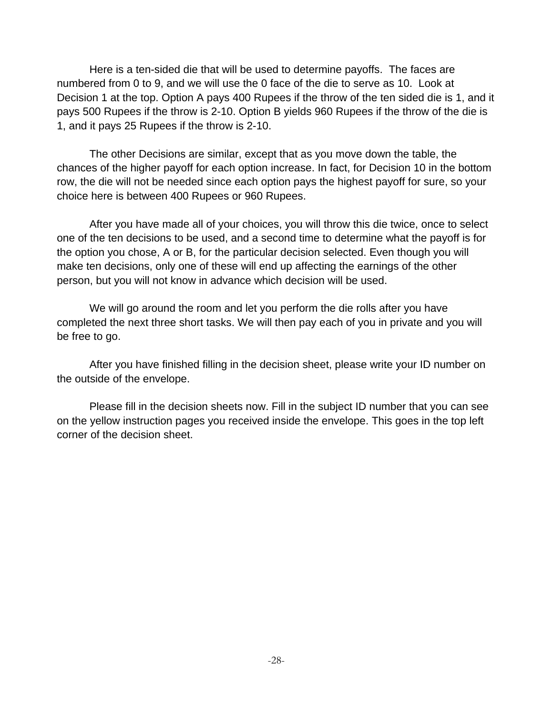Here is a ten-sided die that will be used to determine payoffs. The faces are numbered from 0 to 9, and we will use the 0 face of the die to serve as 10. Look at Decision 1 at the top. Option A pays 400 Rupees if the throw of the ten sided die is 1, and it pays 500 Rupees if the throw is 2-10. Option B yields 960 Rupees if the throw of the die is 1, and it pays 25 Rupees if the throw is 2-10.

The other Decisions are similar, except that as you move down the table, the chances of the higher payoff for each option increase. In fact, for Decision 10 in the bottom row, the die will not be needed since each option pays the highest payoff for sure, so your choice here is between 400 Rupees or 960 Rupees.

After you have made all of your choices, you will throw this die twice, once to select one of the ten decisions to be used, and a second time to determine what the payoff is for the option you chose, A or B, for the particular decision selected. Even though you will make ten decisions, only one of these will end up affecting the earnings of the other person, but you will not know in advance which decision will be used.

We will go around the room and let you perform the die rolls after you have completed the next three short tasks. We will then pay each of you in private and you will be free to go.

After you have finished filling in the decision sheet, please write your ID number on the outside of the envelope.

Please fill in the decision sheets now. Fill in the subject ID number that you can see on the yellow instruction pages you received inside the envelope. This goes in the top left corner of the decision sheet.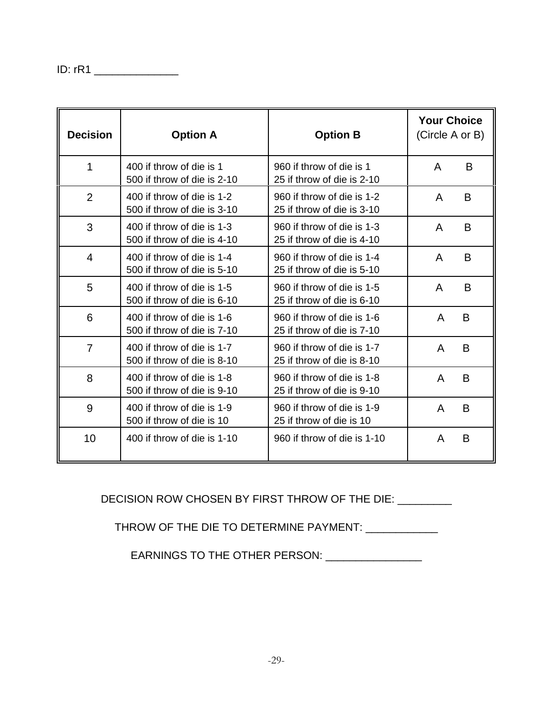ID: rR1 \_\_\_\_\_\_\_\_\_\_\_\_\_\_

| <b>Decision</b> | <b>Option A</b>             | <b>Option B</b>             | <b>Your Choice</b><br>(Circle A or B) |
|-----------------|-----------------------------|-----------------------------|---------------------------------------|
| 1               | 400 if throw of die is 1    | 960 if throw of die is 1    | A                                     |
|                 | 500 if throw of die is 2-10 | 25 if throw of die is 2-10  | B                                     |
| 2               | 400 if throw of die is 1-2  | 960 if throw of die is 1-2  | B                                     |
|                 | 500 if throw of die is 3-10 | 25 if throw of die is 3-10  | A                                     |
| 3               | 400 if throw of die is 1-3  | 960 if throw of die is 1-3  | B                                     |
|                 | 500 if throw of die is 4-10 | 25 if throw of die is 4-10  | A                                     |
| $\overline{4}$  | 400 if throw of die is 1-4  | 960 if throw of die is 1-4  | B                                     |
|                 | 500 if throw of die is 5-10 | 25 if throw of die is 5-10  | A                                     |
| 5               | 400 if throw of die is 1-5  | 960 if throw of die is 1-5  | B                                     |
|                 | 500 if throw of die is 6-10 | 25 if throw of die is 6-10  | A                                     |
| 6               | 400 if throw of die is 1-6  | 960 if throw of die is 1-6  | A                                     |
|                 | 500 if throw of die is 7-10 | 25 if throw of die is 7-10  | B                                     |
| $\overline{7}$  | 400 if throw of die is 1-7  | 960 if throw of die is 1-7  | A                                     |
|                 | 500 if throw of die is 8-10 | 25 if throw of die is 8-10  | B                                     |
| 8               | 400 if throw of die is 1-8  | 960 if throw of die is 1-8  | A                                     |
|                 | 500 if throw of die is 9-10 | 25 if throw of die is 9-10  | B                                     |
| 9               | 400 if throw of die is 1-9  | 960 if throw of die is 1-9  | A                                     |
|                 | 500 if throw of die is 10   | 25 if throw of die is 10    | B                                     |
| 10              | 400 if throw of die is 1-10 | 960 if throw of die is 1-10 | A<br>B                                |

DECISION ROW CHOSEN BY FIRST THROW OF THE DIE: \_\_\_\_\_\_\_\_

THROW OF THE DIE TO DETERMINE PAYMENT: \_\_\_\_\_\_\_\_\_\_\_

EARNINGS TO THE OTHER PERSON: \_\_\_\_\_\_\_\_\_\_\_\_\_\_\_\_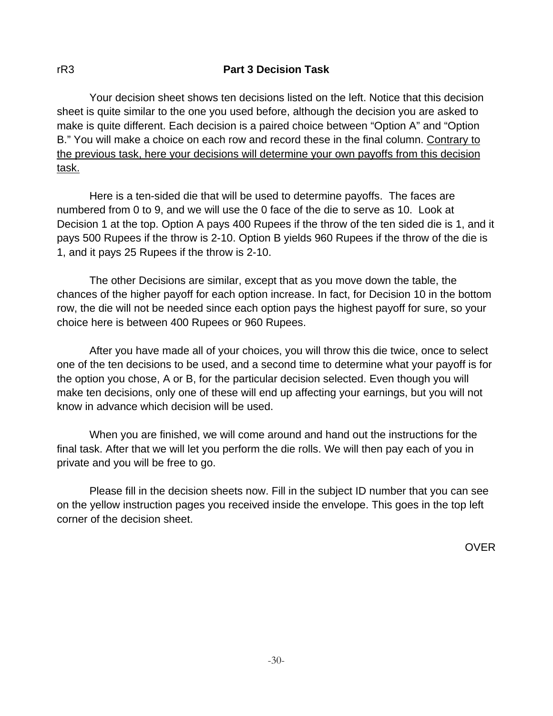## rR3 **Part 3 Decision Task**

Your decision sheet shows ten decisions listed on the left. Notice that this decision sheet is quite similar to the one you used before, although the decision you are asked to make is quite different. Each decision is a paired choice between "Option A" and "Option B." You will make a choice on each row and record these in the final column. Contrary to the previous task, here your decisions will determine your own payoffs from this decision task.

Here is a ten-sided die that will be used to determine payoffs. The faces are numbered from 0 to 9, and we will use the 0 face of the die to serve as 10. Look at Decision 1 at the top. Option A pays 400 Rupees if the throw of the ten sided die is 1, and it pays 500 Rupees if the throw is 2-10. Option B yields 960 Rupees if the throw of the die is 1, and it pays 25 Rupees if the throw is 2-10.

The other Decisions are similar, except that as you move down the table, the chances of the higher payoff for each option increase. In fact, for Decision 10 in the bottom row, the die will not be needed since each option pays the highest payoff for sure, so your choice here is between 400 Rupees or 960 Rupees.

After you have made all of your choices, you will throw this die twice, once to select one of the ten decisions to be used, and a second time to determine what your payoff is for the option you chose, A or B, for the particular decision selected. Even though you will make ten decisions, only one of these will end up affecting your earnings, but you will not know in advance which decision will be used.

When you are finished, we will come around and hand out the instructions for the final task. After that we will let you perform the die rolls. We will then pay each of you in private and you will be free to go.

Please fill in the decision sheets now. Fill in the subject ID number that you can see on the yellow instruction pages you received inside the envelope. This goes in the top left corner of the decision sheet.

OVER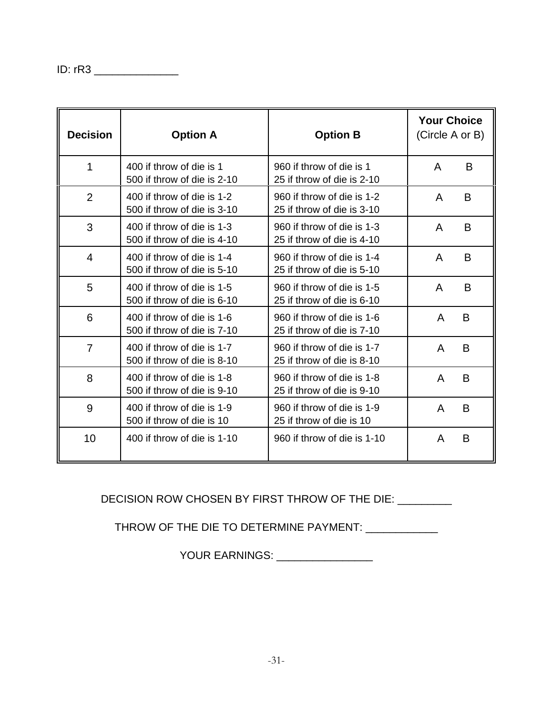ID: rR3 \_\_\_\_\_\_\_\_\_\_\_\_\_\_

| <b>Decision</b> | <b>Option A</b>             | <b>Option B</b>             | <b>Your Choice</b><br>(Circle A or B) |
|-----------------|-----------------------------|-----------------------------|---------------------------------------|
| 1               | 400 if throw of die is 1    | 960 if throw of die is 1    | $\mathsf{A}$                          |
|                 | 500 if throw of die is 2-10 | 25 if throw of die is 2-10  | B                                     |
| 2               | 400 if throw of die is 1-2  | 960 if throw of die is 1-2  | B                                     |
|                 | 500 if throw of die is 3-10 | 25 if throw of die is 3-10  | A                                     |
| 3               | 400 if throw of die is 1-3  | 960 if throw of die is 1-3  | B                                     |
|                 | 500 if throw of die is 4-10 | 25 if throw of die is 4-10  | A                                     |
| 4               | 400 if throw of die is 1-4  | 960 if throw of die is 1-4  | B                                     |
|                 | 500 if throw of die is 5-10 | 25 if throw of die is 5-10  | A                                     |
| 5               | 400 if throw of die is 1-5  | 960 if throw of die is 1-5  | B                                     |
|                 | 500 if throw of die is 6-10 | 25 if throw of die is 6-10  | A                                     |
| 6               | 400 if throw of die is 1-6  | 960 if throw of die is 1-6  | A                                     |
|                 | 500 if throw of die is 7-10 | 25 if throw of die is 7-10  | B                                     |
| $\overline{7}$  | 400 if throw of die is 1-7  | 960 if throw of die is 1-7  | A                                     |
|                 | 500 if throw of die is 8-10 | 25 if throw of die is 8-10  | B                                     |
| 8               | 400 if throw of die is 1-8  | 960 if throw of die is 1-8  | B                                     |
|                 | 500 if throw of die is 9-10 | 25 if throw of die is 9-10  | A                                     |
| 9               | 400 if throw of die is 1-9  | 960 if throw of die is 1-9  | A                                     |
|                 | 500 if throw of die is 10   | 25 if throw of die is 10    | B                                     |
| 10              | 400 if throw of die is 1-10 | 960 if throw of die is 1-10 | A<br>B                                |

DECISION ROW CHOSEN BY FIRST THROW OF THE DIE: \_\_\_\_\_\_\_\_

THROW OF THE DIE TO DETERMINE PAYMENT: \_\_\_\_\_\_\_\_\_\_\_

YOUR EARNINGS: \_\_\_\_\_\_\_\_\_\_\_\_\_\_\_\_\_\_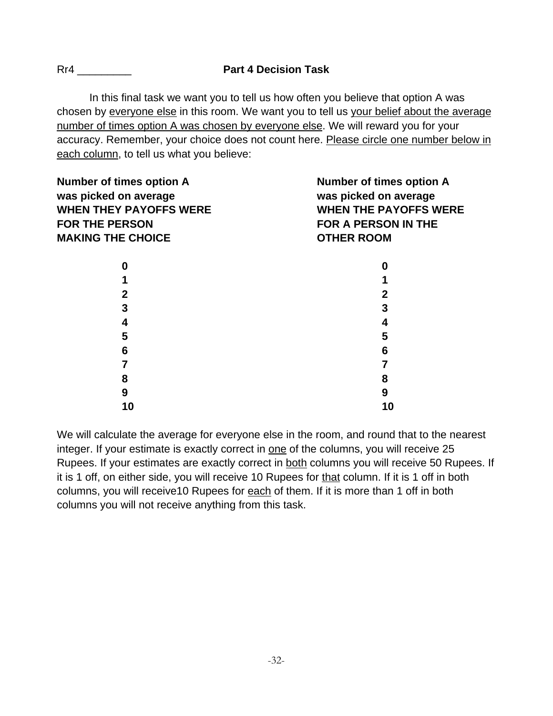## Rr4 \_\_\_\_\_\_\_\_\_ **Part 4 Decision Task**

In this final task we want you to tell us how often you believe that option A was chosen by everyone else in this room. We want you to tell us your belief about the average number of times option A was chosen by everyone else. We will reward you for your accuracy. Remember, your choice does not count here. Please circle one number below in each column, to tell us what you believe:

| <b>Number of times option A</b><br>was picked on average | <b>Number of times option A</b><br>was picked on average |  |  |
|----------------------------------------------------------|----------------------------------------------------------|--|--|
| <b>WHEN THEY PAYOFFS WERE</b>                            | <b>WHEN THE PAYOFFS WERE</b>                             |  |  |
| <b>FOR THE PERSON</b>                                    | FOR A PERSON IN THE                                      |  |  |
|                                                          |                                                          |  |  |
| <b>MAKING THE CHOICE</b>                                 | <b>OTHER ROOM</b>                                        |  |  |
|                                                          |                                                          |  |  |
| O                                                        | O                                                        |  |  |
|                                                          |                                                          |  |  |
| 2                                                        | 2                                                        |  |  |
| 3                                                        | 3                                                        |  |  |
| 4                                                        |                                                          |  |  |
| 5                                                        | 5                                                        |  |  |
| 6                                                        | 6                                                        |  |  |
|                                                          |                                                          |  |  |
| 8                                                        | 8                                                        |  |  |
| 9                                                        | 9                                                        |  |  |
| 10                                                       | 10                                                       |  |  |

We will calculate the average for everyone else in the room, and round that to the nearest integer. If your estimate is exactly correct in one of the columns, you will receive 25 Rupees. If your estimates are exactly correct in both columns you will receive 50 Rupees. If it is 1 off, on either side, you will receive 10 Rupees for that column. If it is 1 off in both columns, you will receive10 Rupees for each of them. If it is more than 1 off in both columns you will not receive anything from this task.

-32-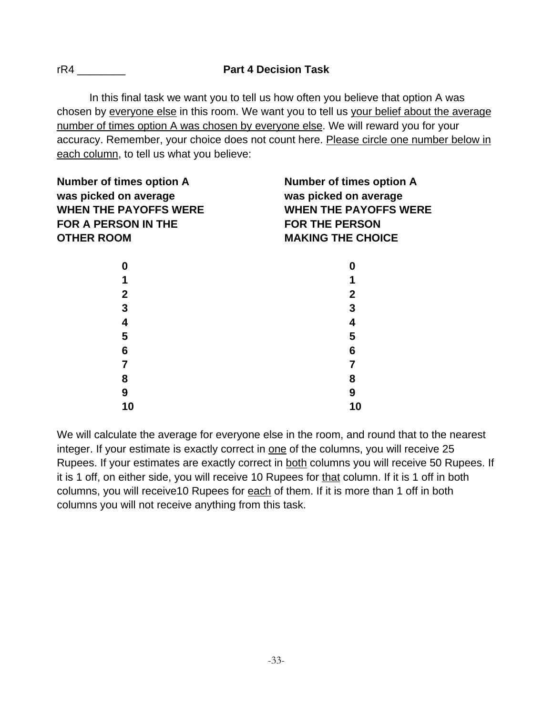## rR4 \_\_\_\_\_\_\_\_ **Part 4 Decision Task**

In this final task we want you to tell us how often you believe that option A was chosen by everyone else in this room. We want you to tell us your belief about the average number of times option A was chosen by everyone else. We will reward you for your accuracy. Remember, your choice does not count here. Please circle one number below in each column, to tell us what you believe:

| <b>Number of times option A</b> | Number of times option A     |  |  |
|---------------------------------|------------------------------|--|--|
| was picked on average           | was picked on average        |  |  |
| <b>WHEN THE PAYOFFS WERE</b>    | <b>WHEN THE PAYOFFS WERE</b> |  |  |
| FOR A PERSON IN THE             | <b>FOR THE PERSON</b>        |  |  |
| <b>OTHER ROOM</b>               | <b>MAKING THE CHOICE</b>     |  |  |
| 0                               | O                            |  |  |
|                                 |                              |  |  |
| 2                               | 2                            |  |  |
| 3                               | 3                            |  |  |
| 4                               | 4                            |  |  |
| 5                               | 5                            |  |  |
| 6                               | 6                            |  |  |
|                                 |                              |  |  |
| 8                               | 8                            |  |  |
| 9                               | 9                            |  |  |
| 10                              | 10                           |  |  |

We will calculate the average for everyone else in the room, and round that to the nearest integer. If your estimate is exactly correct in one of the columns, you will receive 25 Rupees. If your estimates are exactly correct in both columns you will receive 50 Rupees. If it is 1 off, on either side, you will receive 10 Rupees for that column. If it is 1 off in both columns, you will receive10 Rupees for each of them. If it is more than 1 off in both columns you will not receive anything from this task.

-33-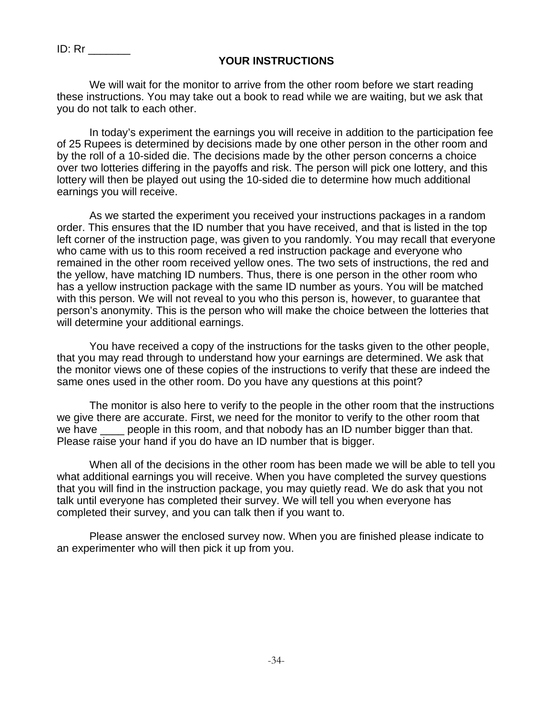ID: Rr \_\_\_\_\_\_\_

### **YOUR INSTRUCTIONS**

We will wait for the monitor to arrive from the other room before we start reading these instructions. You may take out a book to read while we are waiting, but we ask that you do not talk to each other.

In today's experiment the earnings you will receive in addition to the participation fee of 25 Rupees is determined by decisions made by one other person in the other room and by the roll of a 10-sided die. The decisions made by the other person concerns a choice over two lotteries differing in the payoffs and risk. The person will pick one lottery, and this lottery will then be played out using the 10-sided die to determine how much additional earnings you will receive.

As we started the experiment you received your instructions packages in a random order. This ensures that the ID number that you have received, and that is listed in the top left corner of the instruction page, was given to you randomly. You may recall that everyone who came with us to this room received a red instruction package and everyone who remained in the other room received yellow ones. The two sets of instructions, the red and the yellow, have matching ID numbers. Thus, there is one person in the other room who has a yellow instruction package with the same ID number as yours. You will be matched with this person. We will not reveal to you who this person is, however, to guarantee that person's anonymity. This is the person who will make the choice between the lotteries that will determine your additional earnings.

You have received a copy of the instructions for the tasks given to the other people, that you may read through to understand how your earnings are determined. We ask that the monitor views one of these copies of the instructions to verify that these are indeed the same ones used in the other room. Do you have any questions at this point?

The monitor is also here to verify to the people in the other room that the instructions we give there are accurate. First, we need for the monitor to verify to the other room that we have <u>eage</u> people in this room, and that nobody has an ID number bigger than that. Please raise your hand if you do have an ID number that is bigger.

When all of the decisions in the other room has been made we will be able to tell you what additional earnings you will receive. When you have completed the survey questions that you will find in the instruction package, you may quietly read. We do ask that you not talk until everyone has completed their survey. We will tell you when everyone has completed their survey, and you can talk then if you want to.

Please answer the enclosed survey now. When you are finished please indicate to an experimenter who will then pick it up from you.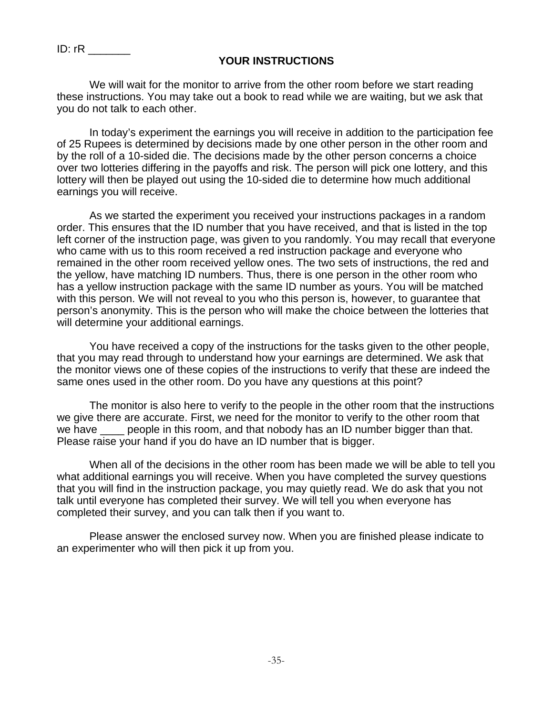$ID: rR$ 

### **YOUR INSTRUCTIONS**

We will wait for the monitor to arrive from the other room before we start reading these instructions. You may take out a book to read while we are waiting, but we ask that you do not talk to each other.

In today's experiment the earnings you will receive in addition to the participation fee of 25 Rupees is determined by decisions made by one other person in the other room and by the roll of a 10-sided die. The decisions made by the other person concerns a choice over two lotteries differing in the payoffs and risk. The person will pick one lottery, and this lottery will then be played out using the 10-sided die to determine how much additional earnings you will receive.

As we started the experiment you received your instructions packages in a random order. This ensures that the ID number that you have received, and that is listed in the top left corner of the instruction page, was given to you randomly. You may recall that everyone who came with us to this room received a red instruction package and everyone who remained in the other room received yellow ones. The two sets of instructions, the red and the yellow, have matching ID numbers. Thus, there is one person in the other room who has a yellow instruction package with the same ID number as yours. You will be matched with this person. We will not reveal to you who this person is, however, to guarantee that person's anonymity. This is the person who will make the choice between the lotteries that will determine your additional earnings.

You have received a copy of the instructions for the tasks given to the other people, that you may read through to understand how your earnings are determined. We ask that the monitor views one of these copies of the instructions to verify that these are indeed the same ones used in the other room. Do you have any questions at this point?

The monitor is also here to verify to the people in the other room that the instructions we give there are accurate. First, we need for the monitor to verify to the other room that we have <u>eage</u> people in this room, and that nobody has an ID number bigger than that. Please raise your hand if you do have an ID number that is bigger.

When all of the decisions in the other room has been made we will be able to tell you what additional earnings you will receive. When you have completed the survey questions that you will find in the instruction package, you may quietly read. We do ask that you not talk until everyone has completed their survey. We will tell you when everyone has completed their survey, and you can talk then if you want to.

Please answer the enclosed survey now. When you are finished please indicate to an experimenter who will then pick it up from you.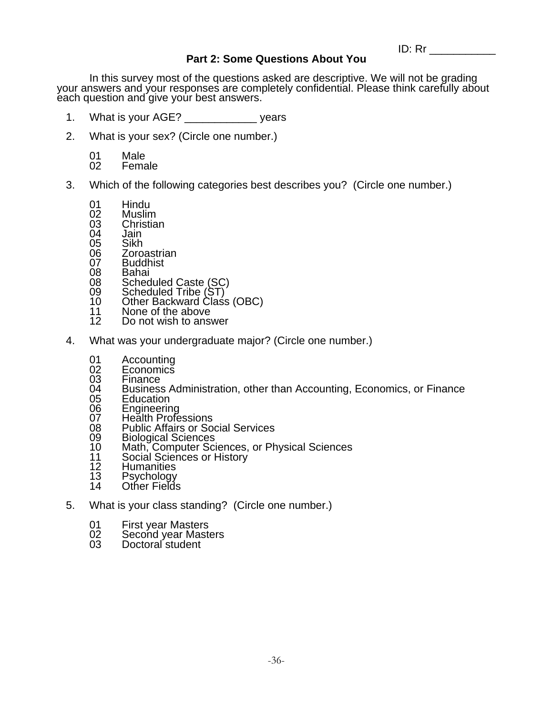### **Part 2: Some Questions About You**

In this survey most of the questions asked are descriptive. We will not be grading your answers and your responses are completely confidential. Please think carefully about each question and give your best answers.

- 1. What is your AGE? \_\_\_\_\_\_\_\_\_\_\_\_ years
- 2. What is your sex? (Circle one number.)
	- 01 Male<br>02 Fema
	- **Female**
- 3. Which of the following categories best describes you? (Circle one number.)
	- 01 Hindu<br>02 Muslin
	- 02 Muslim<br>03 Christia
	- 03 Christian<br>04 Jain
	- 04 Jain
	- 05 Sikh
	- 06 Zoroastrian<br>07 Buddhist
	- 07 Buddhist<br>08 Bahai
	- 08 Bahai<br>08 Sched
	- 08 Scheduled Caste (SC)
	- 09 Scheduled Tribe (ST) 10 Other Backward Class (OBC)
	-
	- 11 None of the above<br>12 Do not wish to ans Do not wish to answer
- 4. What was your undergraduate major? (Circle one number.)
	- 01 Accounting<br>02 Economics
	- 02 Economics<br>03 Finance
	- 03 Finance<br>04 Business
	- 04 Business Administration, other than Accounting, Economics, or Finance<br>05 Education<br>06 Engineering
	-
	- 06 Engineering<br>07 Health Profe
	- 07 Health Professions<br>08 Public Affairs or So
	- 08 Public Affairs or Social Services<br>09 Biological Sciences
	- 09 Biological Sciences<br>10 Math, Computer Sci
	- 10 Math, Computer Sciences, or Physical Sciences<br>11 Social Sciences or History
	- 11 Social Sciences or History<br>12 Humanities
	- 12 Humanities<br>13 Psychology
	- 13 Psychology<br>14 Other Field:
	- Other Fields
- 5. What is your class standing? (Circle one number.)
	-
	- 01 First year Masters<br>02 Second year Mast<br>03 Doctoral student Second year Masters
	- Doctoral student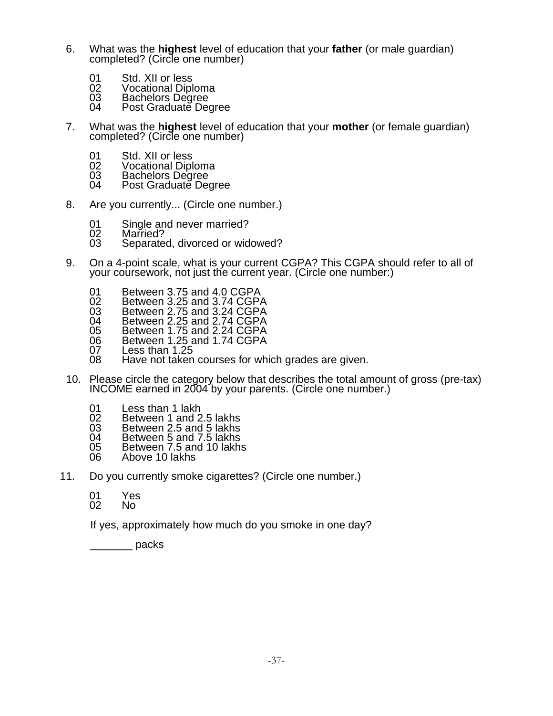- 6. What was the **highest** level of education that your **father** (or male guardian) completed? (Circle one number)
	- 01 Std. XII or less
	- 02 Vocational Diploma<br>03 Bachelors Degree
	- 03 Bachelors Degree<br>04 Post Graduate Dec
	- Post Graduate Degree
- 7. What was the **highest** level of education that your **mother** (or female guardian) completed? (Circle one number)
	- 01 Std. XII or less
	- 02 Vocational Diploma
	- 03 Bachelors Degree<br>04 Post Graduate Dec
	- Post Graduate Degree
- 8. Are you currently... (Circle one number.)
	- 01 Single and never married?<br>02 Married?<br>03 Separated, divorced or wid
	- Married?
	- Separated, divorced or widowed?
- 9. On a 4-point scale, what is your current CGPA? This CGPA should refer to all of your coursework, not just the current year. (Circle one number:)
	- 01 Between 3.75 and 4.0 CGPA
	- 02 Between 3.25 and 3.74 CGPA
	- 03 Between 2.75 and 3.24 CGPA
	- 04 Between 2.25 and 2.74 CGPA
	- 05 Between 1.75 and 2.24 CGPA
	- 06 Between 1.25 and  $\overline{1.74}$   $\overline{C}$ GPA<br>07 Less than 1.25
	- 07 Less than 1.25<br>08 Have not taken
	- Have not taken courses for which grades are given.
- 10. Please circle the category below that describes the total amount of gross (pre-tax) INCOME earned in 2004 by your parents. (Circle one number.)
	- 01 Less than 1 lakh<br>02 Between 1 and 2
	- 02 Between 1 and 2.5 lakhs<br>03 Between 2.5 and 5 lakhs
	- 03 Between 2.5 and 5 lakhs
	- 04 Between 5 and 7.5 lakhs
	- 05 Between 7.5 and 10 lakhs
	- 06 Above 10 lakhs
- 11. Do you currently smoke cigarettes? (Circle one number.)
	- Yes<br>No  $01 \over 02$
	-

If yes, approximately how much do you smoke in one day?

\_\_\_\_\_\_\_\_\_\_ packs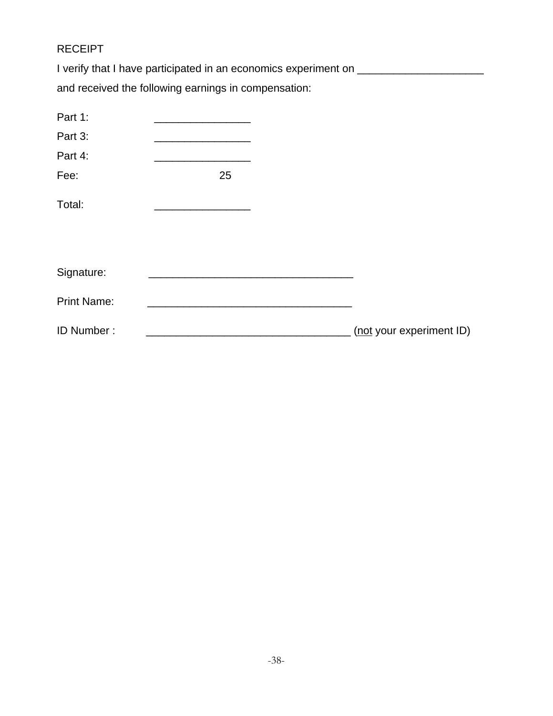# RECEIPT

I verify that I have participated in an economics experiment on \_\_\_\_\_\_\_\_\_\_\_\_\_\_\_\_\_ and received the following earnings in compensation:

| Part 1:            |    |                          |
|--------------------|----|--------------------------|
| Part 3:            |    |                          |
| Part 4:            |    |                          |
| Fee:               | 25 |                          |
| Total:             |    |                          |
| Signature:         |    |                          |
| <b>Print Name:</b> |    |                          |
| ID Number:         |    | (not your experiment ID) |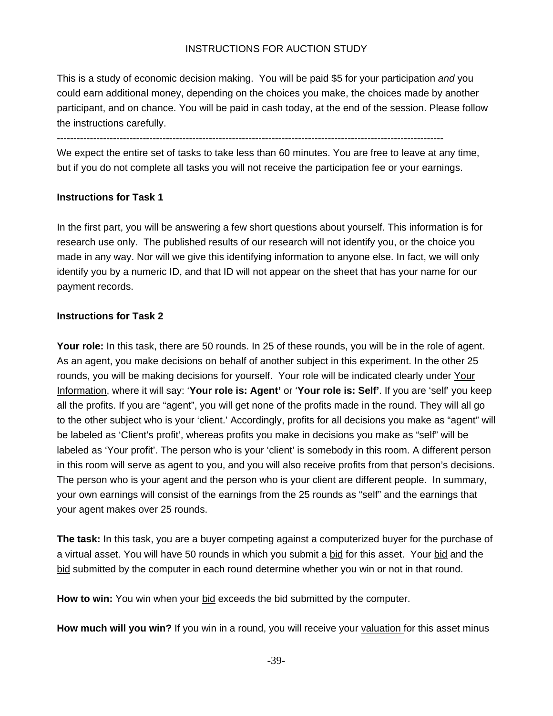### INSTRUCTIONS FOR AUCTION STUDY

This is a study of economic decision making. You will be paid \$5 for your participation *and* you could earn additional money, depending on the choices you make, the choices made by another participant, and on chance. You will be paid in cash today, at the end of the session. Please follow the instructions carefully.

---------------------------------------------------------------------------------------------------------------------

We expect the entire set of tasks to take less than 60 minutes. You are free to leave at any time, but if you do not complete all tasks you will not receive the participation fee or your earnings.

### **Instructions for Task 1**

In the first part, you will be answering a few short questions about yourself. This information is for research use only. The published results of our research will not identify you, or the choice you made in any way. Nor will we give this identifying information to anyone else. In fact, we will only identify you by a numeric ID, and that ID will not appear on the sheet that has your name for our payment records.

### **Instructions for Task 2**

**Your role:** In this task, there are 50 rounds. In 25 of these rounds, you will be in the role of agent. As an agent, you make decisions on behalf of another subject in this experiment. In the other 25 rounds, you will be making decisions for yourself. Your role will be indicated clearly under Your Information, where it will say: '**Your role is: Agent'** or '**Your role is: Self'**. If you are 'self' you keep all the profits. If you are "agent", you will get none of the profits made in the round. They will all go to the other subject who is your 'client.' Accordingly, profits for all decisions you make as "agent" will be labeled as 'Client's profit', whereas profits you make in decisions you make as "self" will be labeled as 'Your profit'. The person who is your 'client' is somebody in this room. A different person in this room will serve as agent to you, and you will also receive profits from that person's decisions. The person who is your agent and the person who is your client are different people. In summary, your own earnings will consist of the earnings from the 25 rounds as "self" and the earnings that your agent makes over 25 rounds.

**The task:** In this task, you are a buyer competing against a computerized buyer for the purchase of a virtual asset. You will have 50 rounds in which you submit a bid for this asset. Your bid and the bid submitted by the computer in each round determine whether you win or not in that round.

**How to win:** You win when your bid exceeds the bid submitted by the computer.

How much will you win? If you win in a round, you will receive your valuation for this asset minus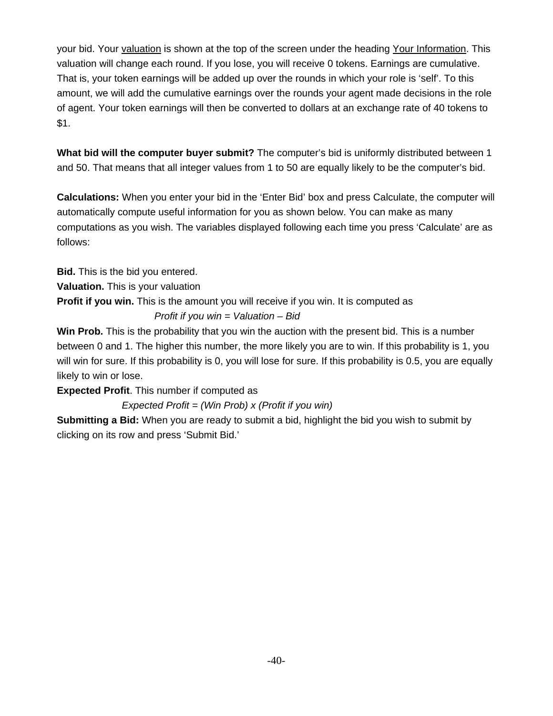your bid. Your valuation is shown at the top of the screen under the heading Your Information. This valuation will change each round. If you lose, you will receive 0 tokens. Earnings are cumulative. That is, your token earnings will be added up over the rounds in which your role is 'self'. To this amount, we will add the cumulative earnings over the rounds your agent made decisions in the role of agent. Your token earnings will then be converted to dollars at an exchange rate of 40 tokens to \$1.

**What bid will the computer buyer submit?** The computer's bid is uniformly distributed between 1 and 50. That means that all integer values from 1 to 50 are equally likely to be the computer's bid.

**Calculations:** When you enter your bid in the 'Enter Bid' box and press Calculate, the computer will automatically compute useful information for you as shown below. You can make as many computations as you wish. The variables displayed following each time you press 'Calculate' are as follows:

**Bid.** This is the bid you entered.

**Valuation.** This is your valuation

**Profit if you win.** This is the amount you will receive if you win. It is computed as

```
Profit if you win = Valuation – Bid
```
**Win Prob.** This is the probability that you win the auction with the present bid. This is a number between 0 and 1. The higher this number, the more likely you are to win. If this probability is 1, you will win for sure. If this probability is 0, you will lose for sure. If this probability is 0.5, you are equally likely to win or lose.

**Expected Profit**. This number if computed as

*Expected Profit = (Win Prob) x (Profit if you win)*

**Submitting a Bid:** When you are ready to submit a bid, highlight the bid you wish to submit by clicking on its row and press 'Submit Bid.'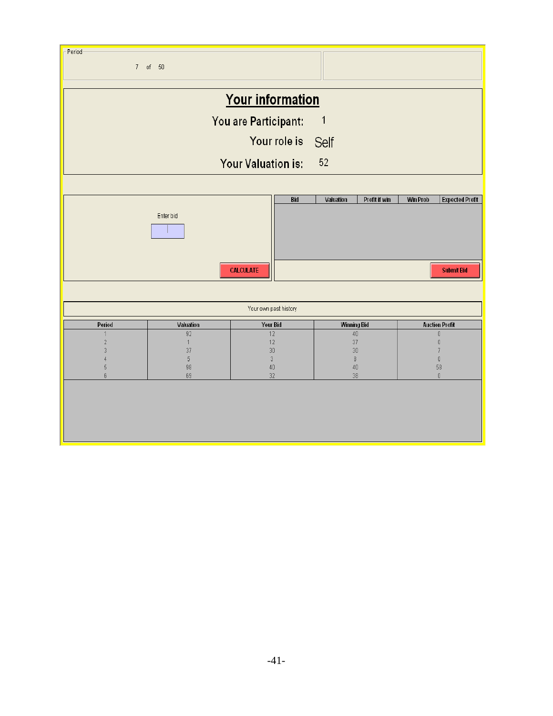| Period                                          |                    |                 |     |                    |               |                                      |                        |
|-------------------------------------------------|--------------------|-----------------|-----|--------------------|---------------|--------------------------------------|------------------------|
| 7 <sup>1</sup>                                  | of $50$            |                 |     |                    |               |                                      |                        |
|                                                 |                    |                 |     |                    |               |                                      |                        |
| <b>Your information</b>                         |                    |                 |     |                    |               |                                      |                        |
| You are Participant:<br>$\overline{\mathbf{1}}$ |                    |                 |     |                    |               |                                      |                        |
| Your role is Self                               |                    |                 |     |                    |               |                                      |                        |
| 52<br>Your Valuation is:                        |                    |                 |     |                    |               |                                      |                        |
|                                                 |                    |                 |     |                    |               |                                      |                        |
|                                                 |                    |                 | Bid | Valuation          | Profit if win | <b>Win Prob</b>                      | <b>Expected Profit</b> |
| Enter bid                                       |                    |                 |     |                    |               |                                      |                        |
|                                                 |                    |                 |     |                    |               |                                      |                        |
|                                                 |                    |                 |     |                    |               |                                      |                        |
|                                                 |                    |                 |     |                    |               |                                      |                        |
| CALCULATE<br><b>Submit Bid</b>                  |                    |                 |     |                    |               |                                      |                        |
|                                                 |                    |                 |     |                    |               |                                      |                        |
| Your own past history                           |                    |                 |     |                    |               |                                      |                        |
| Period                                          | <b>Valuation</b>   | <b>Your Bid</b> |     | <b>Winning Bid</b> |               | <b>Auction Profit</b>                |                        |
| $\overline{2}$                                  | 92<br>$\mathbf{1}$ | 12<br>12        |     | 40<br>37           |               | $\mathbb O$<br>$\,0$                 |                        |
| 3<br>$\overline{4}$                             | 37<br>5            | 30<br>3         |     | $30\,$<br>$\, 8$   |               | 7<br>$\begin{matrix} 0 \end{matrix}$ |                        |
| $\overline{5}$                                  | 98                 | 40              |     | 40                 |               | 58                                   |                        |
| $6\,$                                           | 69                 | 32              |     | $38\,$             |               | $\begin{matrix} 0 \end{matrix}$      |                        |
|                                                 |                    |                 |     |                    |               |                                      |                        |
|                                                 |                    |                 |     |                    |               |                                      |                        |
|                                                 |                    |                 |     |                    |               |                                      |                        |
|                                                 |                    |                 |     |                    |               |                                      |                        |